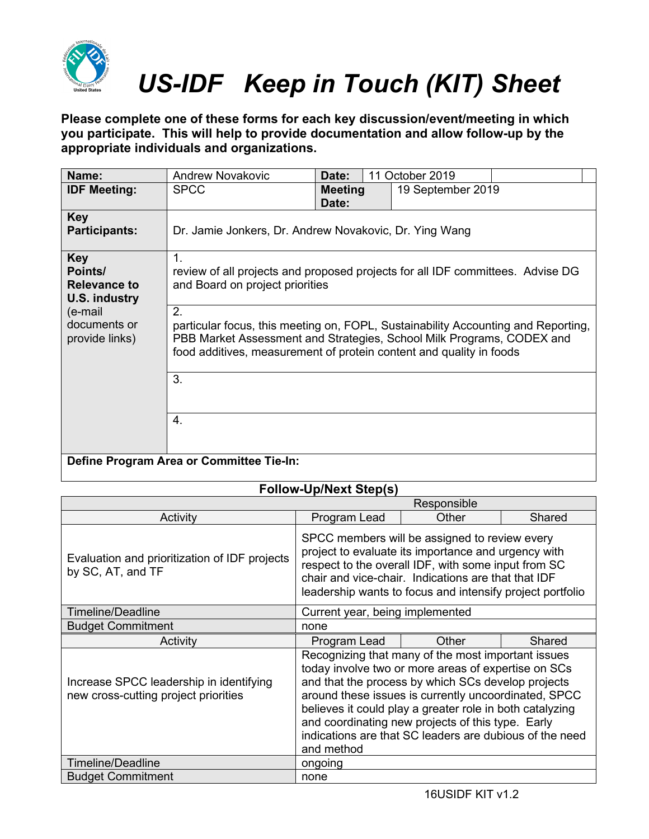

**Please complete one of these forms for each key discussion/event/meeting in which you participate. This will help to provide documentation and allow follow-up by the appropriate individuals and organizations.**

| Name:                                                         | <b>Andrew Novakovic</b>                                                                                                                                                                                                                 | Date:                   | 11 October 2019                                                                |  |
|---------------------------------------------------------------|-----------------------------------------------------------------------------------------------------------------------------------------------------------------------------------------------------------------------------------------|-------------------------|--------------------------------------------------------------------------------|--|
| <b>IDF Meeting:</b>                                           | <b>SPCC</b>                                                                                                                                                                                                                             | <b>Meeting</b><br>Date: | 19 September 2019                                                              |  |
| <b>Key</b><br><b>Participants:</b>                            | Dr. Jamie Jonkers, Dr. Andrew Novakovic, Dr. Ying Wang                                                                                                                                                                                  |                         |                                                                                |  |
| <b>Key</b><br>Points/<br><b>Relevance to</b><br>U.S. industry | 1.<br>and Board on project priorities                                                                                                                                                                                                   |                         | review of all projects and proposed projects for all IDF committees. Advise DG |  |
| (e-mail<br>documents or<br>provide links)                     | 2.<br>particular focus, this meeting on, FOPL, Sustainability Accounting and Reporting,<br>PBB Market Assessment and Strategies, School Milk Programs, CODEX and<br>food additives, measurement of protein content and quality in foods |                         |                                                                                |  |
|                                                               | 3.                                                                                                                                                                                                                                      |                         |                                                                                |  |
|                                                               | $\overline{4}$ .                                                                                                                                                                                                                        |                         |                                                                                |  |
|                                                               | Define Program Area or Committee Tie-In:                                                                                                                                                                                                |                         |                                                                                |  |

|                                                                                 | Responsible                                                                                                                                                                                                                                                                                                                                                                                                       |       |        |  |
|---------------------------------------------------------------------------------|-------------------------------------------------------------------------------------------------------------------------------------------------------------------------------------------------------------------------------------------------------------------------------------------------------------------------------------------------------------------------------------------------------------------|-------|--------|--|
| Activity                                                                        | Program Lead                                                                                                                                                                                                                                                                                                                                                                                                      | Other | Shared |  |
| Evaluation and prioritization of IDF projects<br>by SC, AT, and TF              | SPCC members will be assigned to review every<br>project to evaluate its importance and urgency with<br>respect to the overall IDF, with some input from SC<br>chair and vice-chair. Indications are that that IDF<br>leadership wants to focus and intensify project portfolio                                                                                                                                   |       |        |  |
| <b>Timeline/Deadline</b>                                                        | Current year, being implemented                                                                                                                                                                                                                                                                                                                                                                                   |       |        |  |
| <b>Budget Commitment</b>                                                        | none                                                                                                                                                                                                                                                                                                                                                                                                              |       |        |  |
| Activity                                                                        | Program Lead                                                                                                                                                                                                                                                                                                                                                                                                      | Other | Shared |  |
| Increase SPCC leadership in identifying<br>new cross-cutting project priorities | Recognizing that many of the most important issues<br>today involve two or more areas of expertise on SCs<br>and that the process by which SCs develop projects<br>around these issues is currently uncoordinated, SPCC<br>believes it could play a greater role in both catalyzing<br>and coordinating new projects of this type. Early<br>indications are that SC leaders are dubious of the need<br>and method |       |        |  |
| <b>Timeline/Deadline</b>                                                        | ongoing                                                                                                                                                                                                                                                                                                                                                                                                           |       |        |  |
| <b>Budget Commitment</b>                                                        | none                                                                                                                                                                                                                                                                                                                                                                                                              |       |        |  |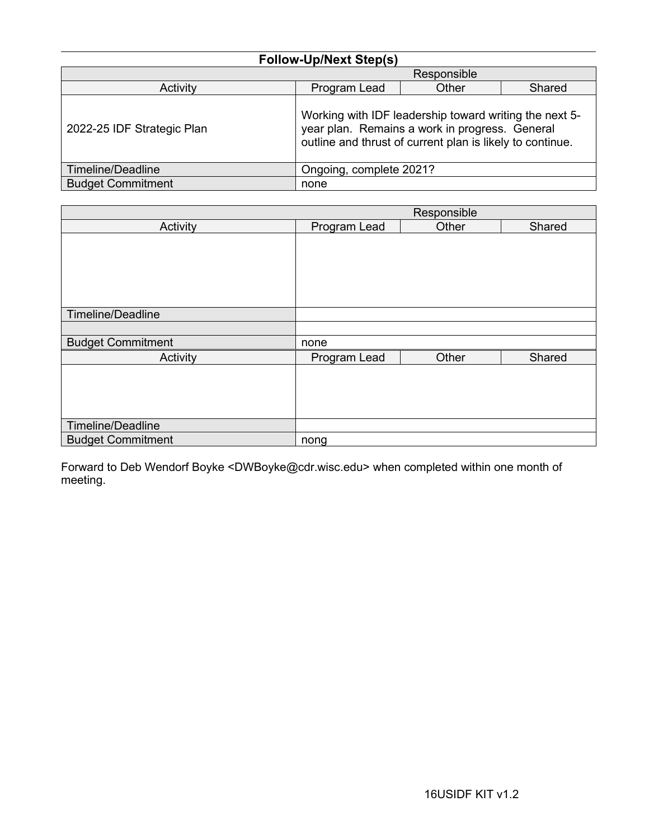| <b>Follow-Up/Next Step(s)</b> |  |
|-------------------------------|--|
|-------------------------------|--|

|                                                                                                                                                                                                     |                         | Responsible |        |
|-----------------------------------------------------------------------------------------------------------------------------------------------------------------------------------------------------|-------------------------|-------------|--------|
| Activity                                                                                                                                                                                            | Program Lead            | Other       | Shared |
| Working with IDF leadership toward writing the next 5-<br>year plan. Remains a work in progress. General<br>2022-25 IDF Strategic Plan<br>outline and thrust of current plan is likely to continue. |                         |             |        |
| Timeline/Deadline                                                                                                                                                                                   | Ongoing, complete 2021? |             |        |
| <b>Budget Commitment</b>                                                                                                                                                                            | none                    |             |        |

|                          |              | Responsible |        |
|--------------------------|--------------|-------------|--------|
| Activity                 | Program Lead | Other       | Shared |
|                          |              |             |        |
|                          |              |             |        |
|                          |              |             |        |
|                          |              |             |        |
|                          |              |             |        |
| Timeline/Deadline        |              |             |        |
|                          |              |             |        |
| <b>Budget Commitment</b> | none         |             |        |
| Activity                 | Program Lead | Other       | Shared |
|                          |              |             |        |
|                          |              |             |        |
|                          |              |             |        |
|                          |              |             |        |
| Timeline/Deadline        |              |             |        |
| <b>Budget Commitment</b> | nong         |             |        |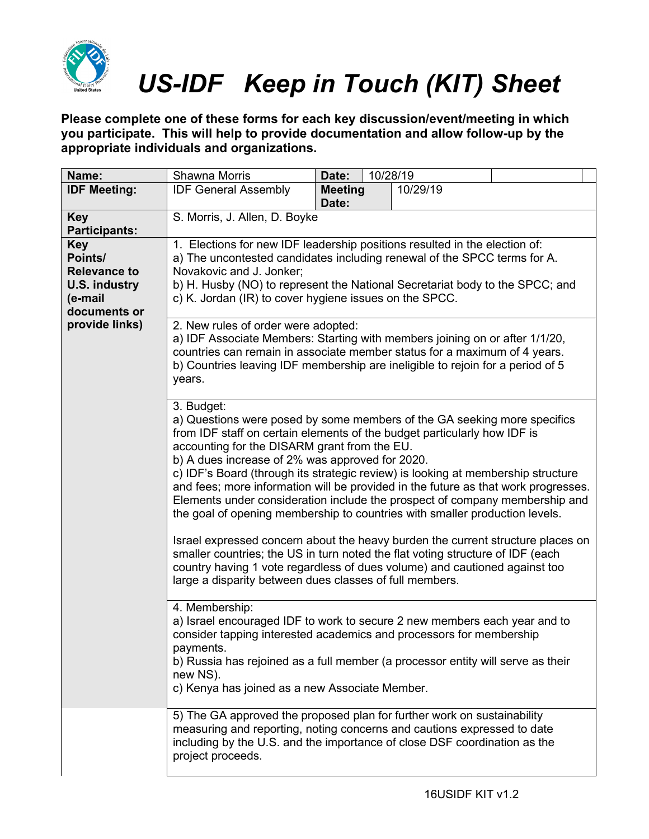

**Please complete one of these forms for each key discussion/event/meeting in which you participate. This will help to provide documentation and allow follow-up by the appropriate individuals and organizations.**

| Name:                                                                                                             | Shawna Morris                                                                                                                                                                                                                                                                                                                                                                                                                                                                                                                                                                                                                                                                                                                                                                                                                                                                                                                                                                                                                                                                                                                                                                                                                                                                                                                                                                                                                                                                                                                                                                                                                                                                                                                                                                                                                                                                                  | Date:                   | 10/28/19 |          |  |
|-------------------------------------------------------------------------------------------------------------------|------------------------------------------------------------------------------------------------------------------------------------------------------------------------------------------------------------------------------------------------------------------------------------------------------------------------------------------------------------------------------------------------------------------------------------------------------------------------------------------------------------------------------------------------------------------------------------------------------------------------------------------------------------------------------------------------------------------------------------------------------------------------------------------------------------------------------------------------------------------------------------------------------------------------------------------------------------------------------------------------------------------------------------------------------------------------------------------------------------------------------------------------------------------------------------------------------------------------------------------------------------------------------------------------------------------------------------------------------------------------------------------------------------------------------------------------------------------------------------------------------------------------------------------------------------------------------------------------------------------------------------------------------------------------------------------------------------------------------------------------------------------------------------------------------------------------------------------------------------------------------------------------|-------------------------|----------|----------|--|
| <b>IDF Meeting:</b>                                                                                               | <b>IDF General Assembly</b>                                                                                                                                                                                                                                                                                                                                                                                                                                                                                                                                                                                                                                                                                                                                                                                                                                                                                                                                                                                                                                                                                                                                                                                                                                                                                                                                                                                                                                                                                                                                                                                                                                                                                                                                                                                                                                                                    | <b>Meeting</b><br>Date: |          | 10/29/19 |  |
| <b>Key</b><br><b>Participants:</b>                                                                                | S. Morris, J. Allen, D. Boyke                                                                                                                                                                                                                                                                                                                                                                                                                                                                                                                                                                                                                                                                                                                                                                                                                                                                                                                                                                                                                                                                                                                                                                                                                                                                                                                                                                                                                                                                                                                                                                                                                                                                                                                                                                                                                                                                  |                         |          |          |  |
| <b>Key</b><br>Points/<br><b>Relevance to</b><br><b>U.S. industry</b><br>(e-mail<br>documents or<br>provide links) | 1. Elections for new IDF leadership positions resulted in the election of:<br>a) The uncontested candidates including renewal of the SPCC terms for A.<br>Novakovic and J. Jonker;<br>b) H. Husby (NO) to represent the National Secretariat body to the SPCC; and<br>c) K. Jordan (IR) to cover hygiene issues on the SPCC.<br>2. New rules of order were adopted:<br>a) IDF Associate Members: Starting with members joining on or after 1/1/20,<br>countries can remain in associate member status for a maximum of 4 years.<br>b) Countries leaving IDF membership are ineligible to rejoin for a period of 5<br>years.<br>3. Budget:<br>a) Questions were posed by some members of the GA seeking more specifics<br>from IDF staff on certain elements of the budget particularly how IDF is<br>accounting for the DISARM grant from the EU.<br>b) A dues increase of 2% was approved for 2020.<br>c) IDF's Board (through its strategic review) is looking at membership structure<br>and fees; more information will be provided in the future as that work progresses.<br>Elements under consideration include the prospect of company membership and<br>the goal of opening membership to countries with smaller production levels.<br>Israel expressed concern about the heavy burden the current structure places on<br>smaller countries; the US in turn noted the flat voting structure of IDF (each<br>country having 1 vote regardless of dues volume) and cautioned against too<br>large a disparity between dues classes of full members.<br>4. Membership:<br>a) Israel encouraged IDF to work to secure 2 new members each year and to<br>consider tapping interested academics and processors for membership<br>payments.<br>b) Russia has rejoined as a full member (a processor entity will serve as their<br>new NS).<br>c) Kenya has joined as a new Associate Member. |                         |          |          |  |
|                                                                                                                   |                                                                                                                                                                                                                                                                                                                                                                                                                                                                                                                                                                                                                                                                                                                                                                                                                                                                                                                                                                                                                                                                                                                                                                                                                                                                                                                                                                                                                                                                                                                                                                                                                                                                                                                                                                                                                                                                                                |                         |          |          |  |
|                                                                                                                   | 5) The GA approved the proposed plan for further work on sustainability<br>measuring and reporting, noting concerns and cautions expressed to date<br>including by the U.S. and the importance of close DSF coordination as the<br>project proceeds.                                                                                                                                                                                                                                                                                                                                                                                                                                                                                                                                                                                                                                                                                                                                                                                                                                                                                                                                                                                                                                                                                                                                                                                                                                                                                                                                                                                                                                                                                                                                                                                                                                           |                         |          |          |  |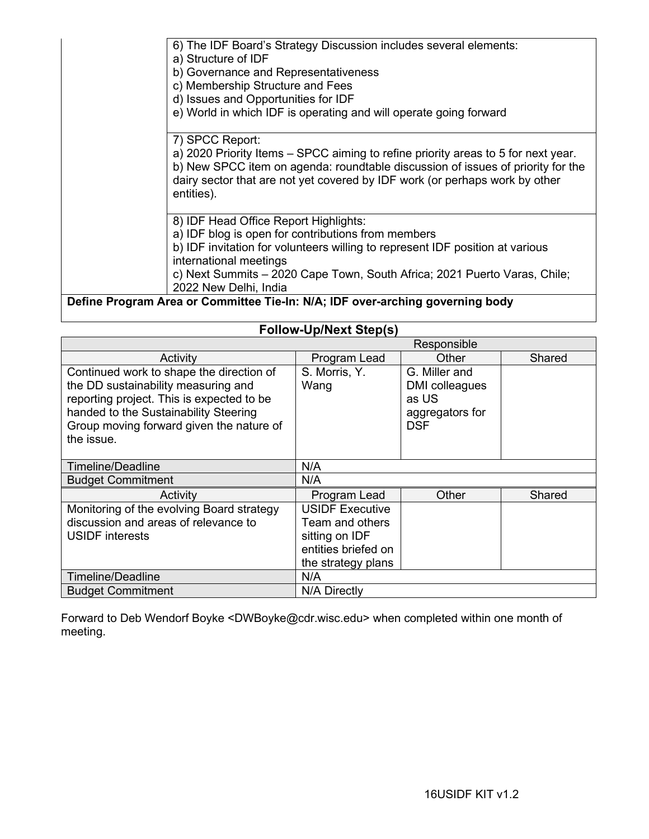| 6) The IDF Board's Strategy Discussion includes several elements:<br>a) Structure of IDF<br>b) Governance and Representativeness<br>c) Membership Structure and Fees<br>d) Issues and Opportunities for IDF<br>e) World in which IDF is operating and will operate going forward |
|----------------------------------------------------------------------------------------------------------------------------------------------------------------------------------------------------------------------------------------------------------------------------------|
| 7) SPCC Report:                                                                                                                                                                                                                                                                  |
| a) 2020 Priority Items – SPCC aiming to refine priority areas to 5 for next year.<br>b) New SPCC item on agenda: roundtable discussion of issues of priority for the<br>dairy sector that are not yet covered by IDF work (or perhaps work by other<br>entities).                |
| 8) IDF Head Office Report Highlights:                                                                                                                                                                                                                                            |
| a) IDF blog is open for contributions from members                                                                                                                                                                                                                               |
| b) IDF invitation for volunteers willing to represent IDF position at various<br>international meetings                                                                                                                                                                          |
| c) Next Summits - 2020 Cape Town, South Africa; 2021 Puerto Varas, Chile;<br>2022 New Delhi, India                                                                                                                                                                               |
| Define Program Area or Committee Tie-In: N/A; IDF over-arching governing body                                                                                                                                                                                                    |

| <b>Follow-Up/Next Step(s)</b>                                                                                                                                                                                                   |                                                                                                          |                                                                           |        |  |
|---------------------------------------------------------------------------------------------------------------------------------------------------------------------------------------------------------------------------------|----------------------------------------------------------------------------------------------------------|---------------------------------------------------------------------------|--------|--|
| Responsible                                                                                                                                                                                                                     |                                                                                                          |                                                                           |        |  |
| Activity                                                                                                                                                                                                                        | Program Lead                                                                                             | Other                                                                     | Shared |  |
| Continued work to shape the direction of<br>the DD sustainability measuring and<br>reporting project. This is expected to be<br>handed to the Sustainability Steering<br>Group moving forward given the nature of<br>the issue. | S. Morris, Y.<br>Wang                                                                                    | G. Miller and<br>DMI colleagues<br>as US<br>aggregators for<br><b>DSF</b> |        |  |
| Timeline/Deadline                                                                                                                                                                                                               | N/A                                                                                                      |                                                                           |        |  |
| <b>Budget Commitment</b>                                                                                                                                                                                                        | N/A                                                                                                      |                                                                           |        |  |
| Activity                                                                                                                                                                                                                        | Program Lead                                                                                             | Other                                                                     | Shared |  |
| Monitoring of the evolving Board strategy<br>discussion and areas of relevance to<br><b>USIDF</b> interests                                                                                                                     | <b>USIDF Executive</b><br>Team and others<br>sitting on IDF<br>entities briefed on<br>the strategy plans |                                                                           |        |  |
| <b>Timeline/Deadline</b>                                                                                                                                                                                                        | N/A                                                                                                      |                                                                           |        |  |
| <b>Budget Commitment</b>                                                                                                                                                                                                        | N/A Directly                                                                                             |                                                                           |        |  |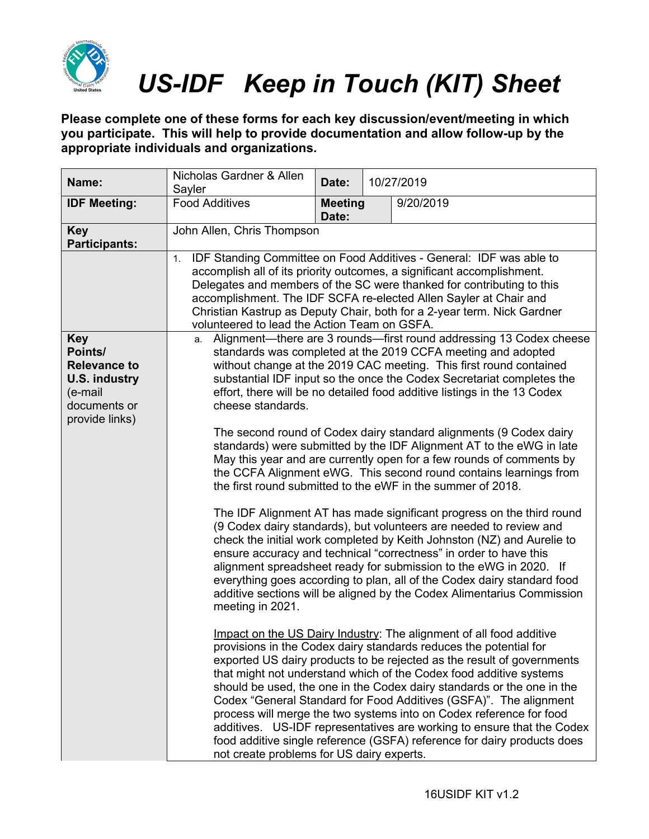

**Please complete one of these forms for each key discussion/event/meeting in which you participate. This will help to provide documentation and allow follow-up by the appropriate individuals and organizations.**

| Name:                                                                                                      | Nicholas Gardner & Allen<br>Sayler                                                                                                                                                                                                                                                                                                                                                                                           | Date:                   |  | 10/27/2019                                                                                                                                                                                                                                                                                                                                                                                                                                                                                                                                                                                                                                                          |
|------------------------------------------------------------------------------------------------------------|------------------------------------------------------------------------------------------------------------------------------------------------------------------------------------------------------------------------------------------------------------------------------------------------------------------------------------------------------------------------------------------------------------------------------|-------------------------|--|---------------------------------------------------------------------------------------------------------------------------------------------------------------------------------------------------------------------------------------------------------------------------------------------------------------------------------------------------------------------------------------------------------------------------------------------------------------------------------------------------------------------------------------------------------------------------------------------------------------------------------------------------------------------|
| <b>IDF Meeting:</b>                                                                                        | <b>Food Additives</b>                                                                                                                                                                                                                                                                                                                                                                                                        | <b>Meeting</b><br>Date: |  | 9/20/2019                                                                                                                                                                                                                                                                                                                                                                                                                                                                                                                                                                                                                                                           |
| <b>Key</b><br><b>Participants:</b>                                                                         | John Allen, Chris Thompson                                                                                                                                                                                                                                                                                                                                                                                                   |                         |  |                                                                                                                                                                                                                                                                                                                                                                                                                                                                                                                                                                                                                                                                     |
|                                                                                                            | IDF Standing Committee on Food Additives - General: IDF was able to<br>1.<br>accomplish all of its priority outcomes, a significant accomplishment.<br>Delegates and members of the SC were thanked for contributing to this<br>accomplishment. The IDF SCFA re-elected Allen Sayler at Chair and<br>Christian Kastrup as Deputy Chair, both for a 2-year term. Nick Gardner<br>volunteered to lead the Action Team on GSFA. |                         |  |                                                                                                                                                                                                                                                                                                                                                                                                                                                                                                                                                                                                                                                                     |
| <b>Key</b><br>Points/<br><b>Relevance to</b><br>U.S. industry<br>(e-mail<br>documents or<br>provide links) | a. Alignment—there are 3 rounds—first round addressing 13 Codex cheese<br>standards was completed at the 2019 CCFA meeting and adopted<br>without change at the 2019 CAC meeting. This first round contained<br>substantial IDF input so the once the Codex Secretariat completes the<br>effort, there will be no detailed food additive listings in the 13 Codex<br>cheese standards.                                       |                         |  |                                                                                                                                                                                                                                                                                                                                                                                                                                                                                                                                                                                                                                                                     |
|                                                                                                            | The second round of Codex dairy standard alignments (9 Codex dairy<br>standards) were submitted by the IDF Alignment AT to the eWG in late<br>May this year and are currently open for a few rounds of comments by<br>the CCFA Alignment eWG. This second round contains learnings from<br>the first round submitted to the eWF in the summer of 2018.                                                                       |                         |  |                                                                                                                                                                                                                                                                                                                                                                                                                                                                                                                                                                                                                                                                     |
|                                                                                                            | meeting in 2021.                                                                                                                                                                                                                                                                                                                                                                                                             |                         |  | The IDF Alignment AT has made significant progress on the third round<br>(9 Codex dairy standards), but volunteers are needed to review and<br>check the initial work completed by Keith Johnston (NZ) and Aurelie to<br>ensure accuracy and technical "correctness" in order to have this<br>alignment spreadsheet ready for submission to the eWG in 2020. If<br>everything goes according to plan, all of the Codex dairy standard food<br>additive sections will be aligned by the Codex Alimentarius Commission                                                                                                                                                |
|                                                                                                            | not create problems for US dairy experts.                                                                                                                                                                                                                                                                                                                                                                                    |                         |  | Impact on the US Dairy Industry: The alignment of all food additive<br>provisions in the Codex dairy standards reduces the potential for<br>exported US dairy products to be rejected as the result of governments<br>that might not understand which of the Codex food additive systems<br>should be used, the one in the Codex dairy standards or the one in the<br>Codex "General Standard for Food Additives (GSFA)". The alignment<br>process will merge the two systems into on Codex reference for food<br>additives. US-IDF representatives are working to ensure that the Codex<br>food additive single reference (GSFA) reference for dairy products does |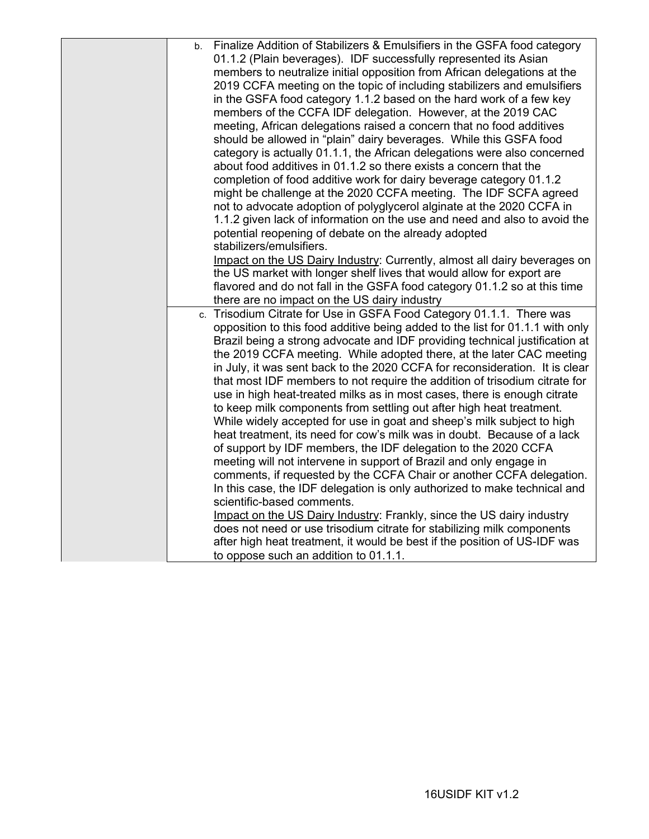| Finalize Addition of Stabilizers & Emulsifiers in the GSFA food category<br>b. |
|--------------------------------------------------------------------------------|
| 01.1.2 (Plain beverages). IDF successfully represented its Asian               |
| members to neutralize initial opposition from African delegations at the       |
| 2019 CCFA meeting on the topic of including stabilizers and emulsifiers        |
| in the GSFA food category 1.1.2 based on the hard work of a few key            |
| members of the CCFA IDF delegation. However, at the 2019 CAC                   |
| meeting, African delegations raised a concern that no food additives           |
| should be allowed in "plain" dairy beverages. While this GSFA food             |
| category is actually 01.1.1, the African delegations were also concerned       |
| about food additives in 01.1.2 so there exists a concern that the              |
| completion of food additive work for dairy beverage category 01.1.2            |
| might be challenge at the 2020 CCFA meeting. The IDF SCFA agreed               |
| not to advocate adoption of polyglycerol alginate at the 2020 CCFA in          |
| 1.1.2 given lack of information on the use and need and also to avoid the      |
| potential reopening of debate on the already adopted                           |
| stabilizers/emulsifiers.                                                       |
| Impact on the US Dairy Industry: Currently, almost all dairy beverages on      |
| the US market with longer shelf lives that would allow for export are          |
| flavored and do not fall in the GSFA food category 01.1.2 so at this time      |
| there are no impact on the US dairy industry                                   |
| c. Trisodium Citrate for Use in GSFA Food Category 01.1.1. There was           |
| opposition to this food additive being added to the list for 01.1.1 with only  |
| Brazil being a strong advocate and IDF providing technical justification at    |
| the 2019 CCFA meeting. While adopted there, at the later CAC meeting           |
| in July, it was sent back to the 2020 CCFA for reconsideration. It is clear    |
| that most IDF members to not require the addition of trisodium citrate for     |
| use in high heat-treated milks as in most cases, there is enough citrate       |
| to keep milk components from settling out after high heat treatment.           |
| While widely accepted for use in goat and sheep's milk subject to high         |
| heat treatment, its need for cow's milk was in doubt. Because of a lack        |
| of support by IDF members, the IDF delegation to the 2020 CCFA                 |
| meeting will not intervene in support of Brazil and only engage in             |
| comments, if requested by the CCFA Chair or another CCFA delegation.           |
| In this case, the IDF delegation is only authorized to make technical and      |
| scientific-based comments.                                                     |
| Impact on the US Dairy Industry: Frankly, since the US dairy industry          |
| does not need or use trisodium citrate for stabilizing milk components         |
| after high heat treatment, it would be best if the position of US-IDF was      |
| to oppose such an addition to 01.1.1.                                          |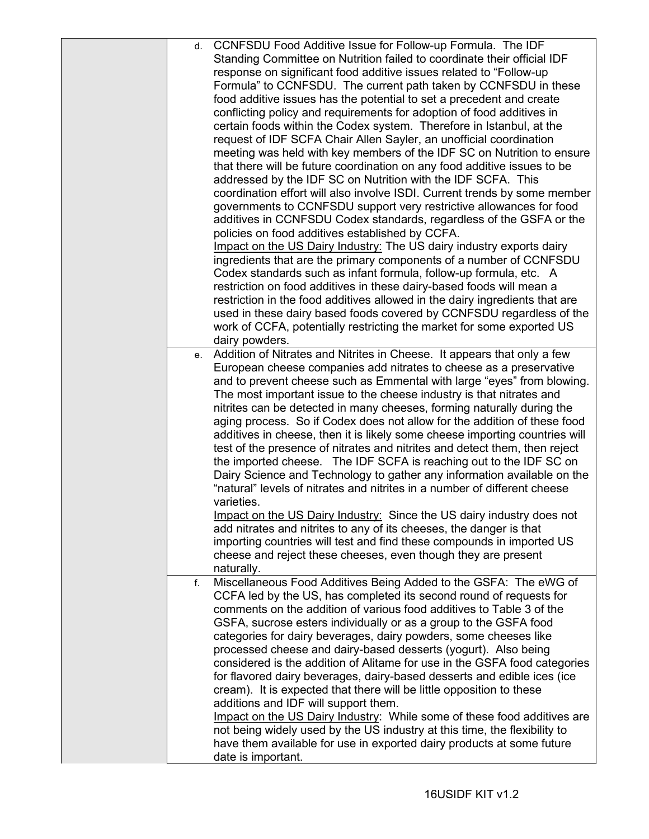| CCNFSDU Food Additive Issue for Follow-up Formula. The IDF<br>d.<br>Standing Committee on Nutrition failed to coordinate their official IDF<br>response on significant food additive issues related to "Follow-up<br>Formula" to CCNFSDU. The current path taken by CCNFSDU in these<br>food additive issues has the potential to set a precedent and create<br>conflicting policy and requirements for adoption of food additives in<br>certain foods within the Codex system. Therefore in Istanbul, at the<br>request of IDF SCFA Chair Allen Sayler, an unofficial coordination<br>meeting was held with key members of the IDF SC on Nutrition to ensure<br>that there will be future coordination on any food additive issues to be<br>addressed by the IDF SC on Nutrition with the IDF SCFA. This<br>coordination effort will also involve ISDI. Current trends by some member<br>governments to CCNFSDU support very restrictive allowances for food<br>additives in CCNFSDU Codex standards, regardless of the GSFA or the<br>policies on food additives established by CCFA.<br>Impact on the US Dairy Industry: The US dairy industry exports dairy<br>ingredients that are the primary components of a number of CCNFSDU<br>Codex standards such as infant formula, follow-up formula, etc. A<br>restriction on food additives in these dairy-based foods will mean a<br>restriction in the food additives allowed in the dairy ingredients that are<br>used in these dairy based foods covered by CCNFSDU regardless of the<br>work of CCFA, potentially restricting the market for some exported US<br>dairy powders. |
|--------------------------------------------------------------------------------------------------------------------------------------------------------------------------------------------------------------------------------------------------------------------------------------------------------------------------------------------------------------------------------------------------------------------------------------------------------------------------------------------------------------------------------------------------------------------------------------------------------------------------------------------------------------------------------------------------------------------------------------------------------------------------------------------------------------------------------------------------------------------------------------------------------------------------------------------------------------------------------------------------------------------------------------------------------------------------------------------------------------------------------------------------------------------------------------------------------------------------------------------------------------------------------------------------------------------------------------------------------------------------------------------------------------------------------------------------------------------------------------------------------------------------------------------------------------------------------------------------------------------------------------|
| e. Addition of Nitrates and Nitrites in Cheese. It appears that only a few<br>European cheese companies add nitrates to cheese as a preservative<br>and to prevent cheese such as Emmental with large "eyes" from blowing.<br>The most important issue to the cheese industry is that nitrates and<br>nitrites can be detected in many cheeses, forming naturally during the<br>aging process. So if Codex does not allow for the addition of these food<br>additives in cheese, then it is likely some cheese importing countries will<br>test of the presence of nitrates and nitrites and detect them, then reject<br>the imported cheese. The IDF SCFA is reaching out to the IDF SC on<br>Dairy Science and Technology to gather any information available on the<br>"natural" levels of nitrates and nitrites in a number of different cheese<br>varieties.<br>Impact on the US Dairy Industry: Since the US dairy industry does not<br>add nitrates and nitrites to any of its cheeses, the danger is that<br>importing countries will test and find these compounds in imported US<br>cheese and reject these cheeses, even though they are present<br>naturally.                                                                                                                                                                                                                                                                                                                                                                                                                                                            |
| Miscellaneous Food Additives Being Added to the GSFA: The eWG of<br>$f_{\cdot}$<br>CCFA led by the US, has completed its second round of requests for<br>comments on the addition of various food additives to Table 3 of the<br>GSFA, sucrose esters individually or as a group to the GSFA food<br>categories for dairy beverages, dairy powders, some cheeses like<br>processed cheese and dairy-based desserts (yogurt). Also being<br>considered is the addition of Alitame for use in the GSFA food categories<br>for flavored dairy beverages, dairy-based desserts and edible ices (ice<br>cream). It is expected that there will be little opposition to these<br>additions and IDF will support them.<br>Impact on the US Dairy Industry: While some of these food additives are<br>not being widely used by the US industry at this time, the flexibility to<br>have them available for use in exported dairy products at some future<br>date is important.                                                                                                                                                                                                                                                                                                                                                                                                                                                                                                                                                                                                                                                               |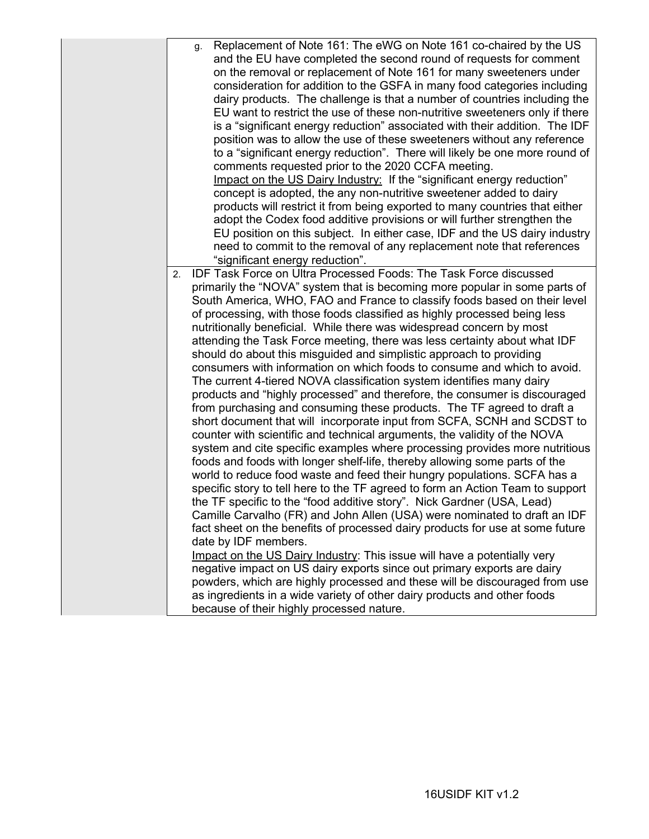| Replacement of Note 161: The eWG on Note 161 co-chaired by the US<br>g.                                                                                   |
|-----------------------------------------------------------------------------------------------------------------------------------------------------------|
| and the EU have completed the second round of requests for comment<br>on the removal or replacement of Note 161 for many sweeteners under                 |
| consideration for addition to the GSFA in many food categories including                                                                                  |
| dairy products. The challenge is that a number of countries including the                                                                                 |
|                                                                                                                                                           |
| EU want to restrict the use of these non-nutritive sweeteners only if there                                                                               |
| is a "significant energy reduction" associated with their addition. The IDF                                                                               |
| position was to allow the use of these sweeteners without any reference                                                                                   |
| to a "significant energy reduction". There will likely be one more round of                                                                               |
| comments requested prior to the 2020 CCFA meeting.                                                                                                        |
| Impact on the US Dairy Industry: If the "significant energy reduction"                                                                                    |
| concept is adopted, the any non-nutritive sweetener added to dairy                                                                                        |
| products will restrict it from being exported to many countries that either                                                                               |
| adopt the Codex food additive provisions or will further strengthen the                                                                                   |
| EU position on this subject. In either case, IDF and the US dairy industry                                                                                |
| need to commit to the removal of any replacement note that references                                                                                     |
| "significant energy reduction".                                                                                                                           |
| <b>IDF Task Force on Ultra Processed Foods: The Task Force discussed</b><br>2.                                                                            |
| primarily the "NOVA" system that is becoming more popular in some parts of                                                                                |
| South America, WHO, FAO and France to classify foods based on their level                                                                                 |
| of processing, with those foods classified as highly processed being less                                                                                 |
| nutritionally beneficial. While there was widespread concern by most                                                                                      |
| attending the Task Force meeting, there was less certainty about what IDF                                                                                 |
| should do about this misguided and simplistic approach to providing<br>consumers with information on which foods to consume and which to avoid.           |
|                                                                                                                                                           |
| The current 4-tiered NOVA classification system identifies many dairy                                                                                     |
| products and "highly processed" and therefore, the consumer is discouraged                                                                                |
| from purchasing and consuming these products. The TF agreed to draft a                                                                                    |
| short document that will incorporate input from SCFA, SCNH and SCDST to                                                                                   |
| counter with scientific and technical arguments, the validity of the NOVA                                                                                 |
| system and cite specific examples where processing provides more nutritious<br>foods and foods with longer shelf-life, thereby allowing some parts of the |
| world to reduce food waste and feed their hungry populations. SCFA has a                                                                                  |
| specific story to tell here to the TF agreed to form an Action Team to support                                                                            |
| the TF specific to the "food additive story". Nick Gardner (USA, Lead)                                                                                    |
| Camille Carvalho (FR) and John Allen (USA) were nominated to draft an IDF                                                                                 |
| fact sheet on the benefits of processed dairy products for use at some future                                                                             |
| date by IDF members.                                                                                                                                      |
| Impact on the US Dairy Industry: This issue will have a potentially very                                                                                  |
| negative impact on US dairy exports since out primary exports are dairy                                                                                   |
| powders, which are highly processed and these will be discouraged from use                                                                                |
| as ingredients in a wide variety of other dairy products and other foods                                                                                  |
| because of their highly processed nature.                                                                                                                 |
|                                                                                                                                                           |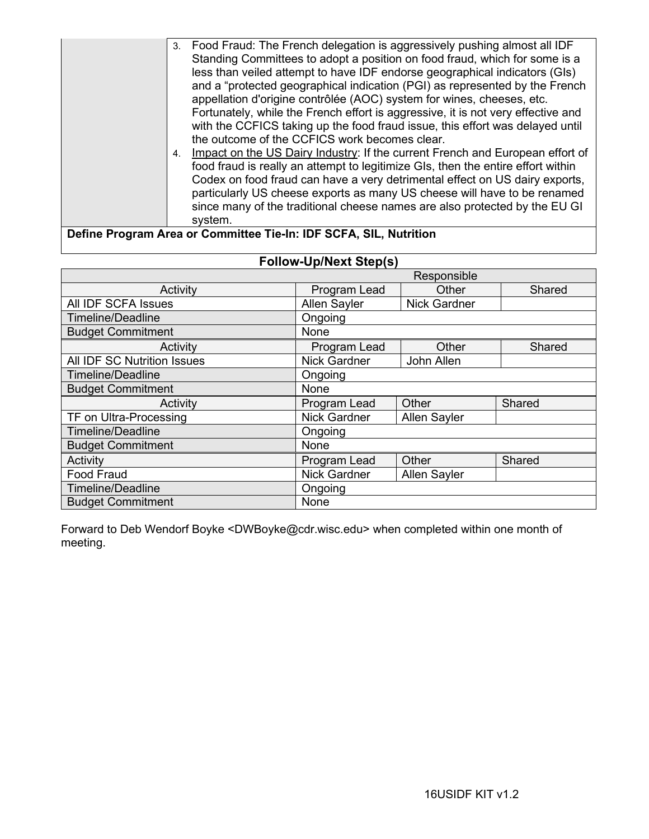| Food Fraud: The French delegation is aggressively pushing almost all IDF<br>3.                  |
|-------------------------------------------------------------------------------------------------|
| Standing Committees to adopt a position on food fraud, which for some is a                      |
| less than veiled attempt to have IDF endorse geographical indicators (GIs)                      |
| and a "protected geographical indication (PGI) as represented by the French                     |
| appellation d'origine contrôlée (AOC) system for wines, cheeses, etc.                           |
| Fortunately, while the French effort is aggressive, it is not very effective and                |
| with the CCFICS taking up the food fraud issue, this effort was delayed until                   |
| the outcome of the CCFICS work becomes clear.                                                   |
| Impact on the US Dairy Industry: If the current French and European effort of<br>$\mathbf{4}$ . |
| food fraud is really an attempt to legitimize GIs, then the entire effort within                |
| Codex on food fraud can have a very detrimental effect on US dairy exports,                     |
| particularly US cheese exports as many US cheese will have to be renamed                        |
| since many of the traditional cheese names are also protected by the EU GI                      |
| system.                                                                                         |
| $100 = 000 = 0.01$<br>.                                                                         |

### **Define Program Area or Committee Tie-In: IDF SCFA, SIL, Nutrition**

|                                  | Responsible         |                     |        |  |
|----------------------------------|---------------------|---------------------|--------|--|
| Activity                         | Program Lead        | Other               | Shared |  |
| All IDF SCFA Issues              | <b>Allen Sayler</b> | <b>Nick Gardner</b> |        |  |
| <b>Timeline/Deadline</b>         | Ongoing             |                     |        |  |
| <b>Budget Commitment</b>         | None                |                     |        |  |
| Activity                         | Program Lead        | Other               | Shared |  |
| All IDF SC Nutrition Issues      | <b>Nick Gardner</b> | John Allen          |        |  |
| <b>Timeline/Deadline</b>         | Ongoing             |                     |        |  |
| <b>Budget Commitment</b>         | None                |                     |        |  |
| Activity                         | Program Lead        | Other               | Shared |  |
| TF on Ultra-Processing           | Nick Gardner        | <b>Allen Sayler</b> |        |  |
| Timeline/Deadline                | Ongoing             |                     |        |  |
| <b>Budget Commitment</b>         | None                |                     |        |  |
| Activity                         | Program Lead        | Other               | Shared |  |
| <b>Food Fraud</b>                | <b>Nick Gardner</b> | Allen Sayler        |        |  |
| <b>Timeline/Deadline</b>         | Ongoing             |                     |        |  |
| <b>Budget Commitment</b><br>None |                     |                     |        |  |

### **Follow-Up/Next Step(s)**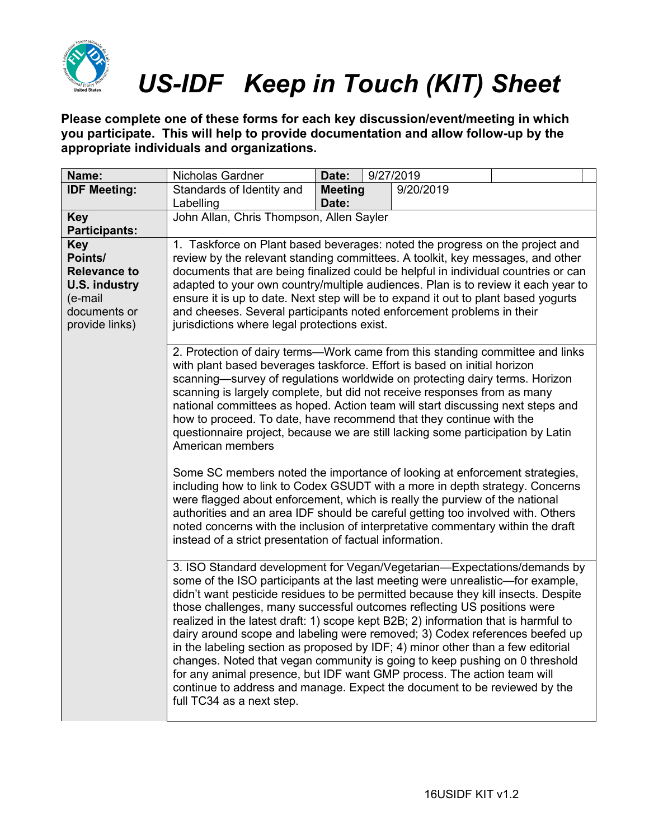

**Please complete one of these forms for each key discussion/event/meeting in which you participate. This will help to provide documentation and allow follow-up by the appropriate individuals and organizations.**

| Name:                                                                                                                                                                                                                                                                                                                                                                                                                                                                                                                                                                                                                                                                                                                                                                                                                                                  | Nicholas Gardner                                                                                                                                                                                                                                                                                                                                                                                                                                                                                                                                                                     | Date:                   |  | 9/27/2019 |  |
|--------------------------------------------------------------------------------------------------------------------------------------------------------------------------------------------------------------------------------------------------------------------------------------------------------------------------------------------------------------------------------------------------------------------------------------------------------------------------------------------------------------------------------------------------------------------------------------------------------------------------------------------------------------------------------------------------------------------------------------------------------------------------------------------------------------------------------------------------------|--------------------------------------------------------------------------------------------------------------------------------------------------------------------------------------------------------------------------------------------------------------------------------------------------------------------------------------------------------------------------------------------------------------------------------------------------------------------------------------------------------------------------------------------------------------------------------------|-------------------------|--|-----------|--|
| <b>IDF Meeting:</b>                                                                                                                                                                                                                                                                                                                                                                                                                                                                                                                                                                                                                                                                                                                                                                                                                                    | Standards of Identity and<br>Labelling                                                                                                                                                                                                                                                                                                                                                                                                                                                                                                                                               | <b>Meeting</b><br>Date: |  | 9/20/2019 |  |
| <b>Key</b><br><b>Participants:</b>                                                                                                                                                                                                                                                                                                                                                                                                                                                                                                                                                                                                                                                                                                                                                                                                                     | John Allan, Chris Thompson, Allen Sayler                                                                                                                                                                                                                                                                                                                                                                                                                                                                                                                                             |                         |  |           |  |
| <b>Key</b><br>Points/<br><b>Relevance to</b><br><b>U.S. industry</b><br>(e-mail<br>documents or<br>provide links)                                                                                                                                                                                                                                                                                                                                                                                                                                                                                                                                                                                                                                                                                                                                      | 1. Taskforce on Plant based beverages: noted the progress on the project and<br>review by the relevant standing committees. A toolkit, key messages, and other<br>documents that are being finalized could be helpful in individual countries or can<br>adapted to your own country/multiple audiences. Plan is to review it each year to<br>ensure it is up to date. Next step will be to expand it out to plant based yogurts<br>and cheeses. Several participants noted enforcement problems in their<br>jurisdictions where legal protections exist.                             |                         |  |           |  |
|                                                                                                                                                                                                                                                                                                                                                                                                                                                                                                                                                                                                                                                                                                                                                                                                                                                        | 2. Protection of dairy terms-Work came from this standing committee and links<br>with plant based beverages taskforce. Effort is based on initial horizon<br>scanning—survey of regulations worldwide on protecting dairy terms. Horizon<br>scanning is largely complete, but did not receive responses from as many<br>national committees as hoped. Action team will start discussing next steps and<br>how to proceed. To date, have recommend that they continue with the<br>questionnaire project, because we are still lacking some participation by Latin<br>American members |                         |  |           |  |
|                                                                                                                                                                                                                                                                                                                                                                                                                                                                                                                                                                                                                                                                                                                                                                                                                                                        | Some SC members noted the importance of looking at enforcement strategies,<br>including how to link to Codex GSUDT with a more in depth strategy. Concerns<br>were flagged about enforcement, which is really the purview of the national<br>authorities and an area IDF should be careful getting too involved with. Others<br>noted concerns with the inclusion of interpretative commentary within the draft<br>instead of a strict presentation of factual information.                                                                                                          |                         |  |           |  |
| 3. ISO Standard development for Vegan/Vegetarian-Expectations/demands by<br>some of the ISO participants at the last meeting were unrealistic-for example,<br>didn't want pesticide residues to be permitted because they kill insects. Despite<br>those challenges, many successful outcomes reflecting US positions were<br>realized in the latest draft: 1) scope kept B2B; 2) information that is harmful to<br>dairy around scope and labeling were removed; 3) Codex references beefed up<br>in the labeling section as proposed by IDF; 4) minor other than a few editorial<br>changes. Noted that vegan community is going to keep pushing on 0 threshold<br>for any animal presence, but IDF want GMP process. The action team will<br>continue to address and manage. Expect the document to be reviewed by the<br>full TC34 as a next step. |                                                                                                                                                                                                                                                                                                                                                                                                                                                                                                                                                                                      |                         |  |           |  |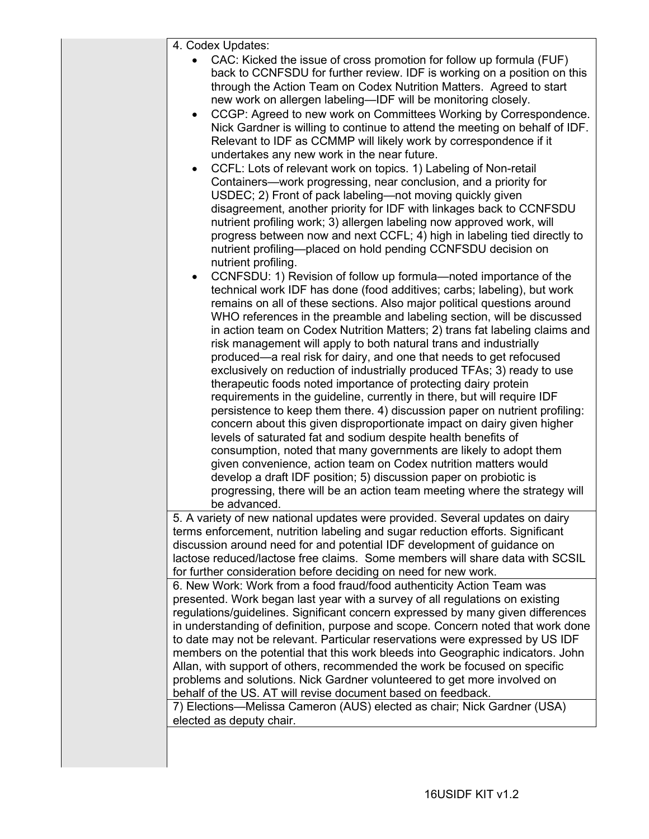| 4. Codex Updates:                                                                                                                                                                                                                                                                                                                                                                                                                                                                                                                                                                                                                                                                                                                                                                                                                                                                                                                                                                                                                                                                                                                                                                                                                                                                                                                                                                                                                                                                                                                                                                                                                                                                                                                                                                                                                                                                                                                                                                                                                                                                                                                                                                                                                                                                                                                                                                                                                                                                                                                                                                                                                                                                                                                                                                                                                                                                                                                                                        |
|--------------------------------------------------------------------------------------------------------------------------------------------------------------------------------------------------------------------------------------------------------------------------------------------------------------------------------------------------------------------------------------------------------------------------------------------------------------------------------------------------------------------------------------------------------------------------------------------------------------------------------------------------------------------------------------------------------------------------------------------------------------------------------------------------------------------------------------------------------------------------------------------------------------------------------------------------------------------------------------------------------------------------------------------------------------------------------------------------------------------------------------------------------------------------------------------------------------------------------------------------------------------------------------------------------------------------------------------------------------------------------------------------------------------------------------------------------------------------------------------------------------------------------------------------------------------------------------------------------------------------------------------------------------------------------------------------------------------------------------------------------------------------------------------------------------------------------------------------------------------------------------------------------------------------------------------------------------------------------------------------------------------------------------------------------------------------------------------------------------------------------------------------------------------------------------------------------------------------------------------------------------------------------------------------------------------------------------------------------------------------------------------------------------------------------------------------------------------------------------------------------------------------------------------------------------------------------------------------------------------------------------------------------------------------------------------------------------------------------------------------------------------------------------------------------------------------------------------------------------------------------------------------------------------------------------------------------------------------|
| CAC: Kicked the issue of cross promotion for follow up formula (FUF)<br>back to CCNFSDU for further review. IDF is working on a position on this<br>through the Action Team on Codex Nutrition Matters. Agreed to start<br>new work on allergen labeling-IDF will be monitoring closely.<br>CCGP: Agreed to new work on Committees Working by Correspondence.<br>Nick Gardner is willing to continue to attend the meeting on behalf of IDF.<br>Relevant to IDF as CCMMP will likely work by correspondence if it<br>undertakes any new work in the near future.<br>CCFL: Lots of relevant work on topics. 1) Labeling of Non-retail<br>$\bullet$<br>Containers—work progressing, near conclusion, and a priority for<br>USDEC; 2) Front of pack labeling—not moving quickly given<br>disagreement, another priority for IDF with linkages back to CCNFSDU<br>nutrient profiling work; 3) allergen labeling now approved work, will<br>progress between now and next CCFL; 4) high in labeling tied directly to<br>nutrient profiling-placed on hold pending CCNFSDU decision on<br>nutrient profiling.<br>CCNFSDU: 1) Revision of follow up formula-noted importance of the<br>$\bullet$<br>technical work IDF has done (food additives; carbs; labeling), but work<br>remains on all of these sections. Also major political questions around<br>WHO references in the preamble and labeling section, will be discussed<br>in action team on Codex Nutrition Matters; 2) trans fat labeling claims and<br>risk management will apply to both natural trans and industrially<br>produced—a real risk for dairy, and one that needs to get refocused<br>exclusively on reduction of industrially produced TFAs; 3) ready to use<br>therapeutic foods noted importance of protecting dairy protein<br>requirements in the guideline, currently in there, but will require IDF<br>persistence to keep them there. 4) discussion paper on nutrient profiling:<br>concern about this given disproportionate impact on dairy given higher<br>levels of saturated fat and sodium despite health benefits of<br>consumption, noted that many governments are likely to adopt them<br>given convenience, action team on Codex nutrition matters would<br>develop a draft IDF position; 5) discussion paper on probiotic is<br>progressing, there will be an action team meeting where the strategy will<br>be advanced.<br>5. A variety of new national updates were provided. Several updates on dairy<br>terms enforcement, nutrition labeling and sugar reduction efforts. Significant<br>discussion around need for and potential IDF development of guidance on<br>lactose reduced/lactose free claims. Some members will share data with SCSIL<br>for further consideration before deciding on need for new work.<br>6. New Work: Work from a food fraud/food authenticity Action Team was<br>presented. Work began last year with a survey of all regulations on existing |
|                                                                                                                                                                                                                                                                                                                                                                                                                                                                                                                                                                                                                                                                                                                                                                                                                                                                                                                                                                                                                                                                                                                                                                                                                                                                                                                                                                                                                                                                                                                                                                                                                                                                                                                                                                                                                                                                                                                                                                                                                                                                                                                                                                                                                                                                                                                                                                                                                                                                                                                                                                                                                                                                                                                                                                                                                                                                                                                                                                          |
|                                                                                                                                                                                                                                                                                                                                                                                                                                                                                                                                                                                                                                                                                                                                                                                                                                                                                                                                                                                                                                                                                                                                                                                                                                                                                                                                                                                                                                                                                                                                                                                                                                                                                                                                                                                                                                                                                                                                                                                                                                                                                                                                                                                                                                                                                                                                                                                                                                                                                                                                                                                                                                                                                                                                                                                                                                                                                                                                                                          |
|                                                                                                                                                                                                                                                                                                                                                                                                                                                                                                                                                                                                                                                                                                                                                                                                                                                                                                                                                                                                                                                                                                                                                                                                                                                                                                                                                                                                                                                                                                                                                                                                                                                                                                                                                                                                                                                                                                                                                                                                                                                                                                                                                                                                                                                                                                                                                                                                                                                                                                                                                                                                                                                                                                                                                                                                                                                                                                                                                                          |
|                                                                                                                                                                                                                                                                                                                                                                                                                                                                                                                                                                                                                                                                                                                                                                                                                                                                                                                                                                                                                                                                                                                                                                                                                                                                                                                                                                                                                                                                                                                                                                                                                                                                                                                                                                                                                                                                                                                                                                                                                                                                                                                                                                                                                                                                                                                                                                                                                                                                                                                                                                                                                                                                                                                                                                                                                                                                                                                                                                          |
|                                                                                                                                                                                                                                                                                                                                                                                                                                                                                                                                                                                                                                                                                                                                                                                                                                                                                                                                                                                                                                                                                                                                                                                                                                                                                                                                                                                                                                                                                                                                                                                                                                                                                                                                                                                                                                                                                                                                                                                                                                                                                                                                                                                                                                                                                                                                                                                                                                                                                                                                                                                                                                                                                                                                                                                                                                                                                                                                                                          |
|                                                                                                                                                                                                                                                                                                                                                                                                                                                                                                                                                                                                                                                                                                                                                                                                                                                                                                                                                                                                                                                                                                                                                                                                                                                                                                                                                                                                                                                                                                                                                                                                                                                                                                                                                                                                                                                                                                                                                                                                                                                                                                                                                                                                                                                                                                                                                                                                                                                                                                                                                                                                                                                                                                                                                                                                                                                                                                                                                                          |
|                                                                                                                                                                                                                                                                                                                                                                                                                                                                                                                                                                                                                                                                                                                                                                                                                                                                                                                                                                                                                                                                                                                                                                                                                                                                                                                                                                                                                                                                                                                                                                                                                                                                                                                                                                                                                                                                                                                                                                                                                                                                                                                                                                                                                                                                                                                                                                                                                                                                                                                                                                                                                                                                                                                                                                                                                                                                                                                                                                          |
|                                                                                                                                                                                                                                                                                                                                                                                                                                                                                                                                                                                                                                                                                                                                                                                                                                                                                                                                                                                                                                                                                                                                                                                                                                                                                                                                                                                                                                                                                                                                                                                                                                                                                                                                                                                                                                                                                                                                                                                                                                                                                                                                                                                                                                                                                                                                                                                                                                                                                                                                                                                                                                                                                                                                                                                                                                                                                                                                                                          |
|                                                                                                                                                                                                                                                                                                                                                                                                                                                                                                                                                                                                                                                                                                                                                                                                                                                                                                                                                                                                                                                                                                                                                                                                                                                                                                                                                                                                                                                                                                                                                                                                                                                                                                                                                                                                                                                                                                                                                                                                                                                                                                                                                                                                                                                                                                                                                                                                                                                                                                                                                                                                                                                                                                                                                                                                                                                                                                                                                                          |
|                                                                                                                                                                                                                                                                                                                                                                                                                                                                                                                                                                                                                                                                                                                                                                                                                                                                                                                                                                                                                                                                                                                                                                                                                                                                                                                                                                                                                                                                                                                                                                                                                                                                                                                                                                                                                                                                                                                                                                                                                                                                                                                                                                                                                                                                                                                                                                                                                                                                                                                                                                                                                                                                                                                                                                                                                                                                                                                                                                          |
| regulations/guidelines. Significant concern expressed by many given differences<br>in understanding of definition, purpose and scope. Concern noted that work done                                                                                                                                                                                                                                                                                                                                                                                                                                                                                                                                                                                                                                                                                                                                                                                                                                                                                                                                                                                                                                                                                                                                                                                                                                                                                                                                                                                                                                                                                                                                                                                                                                                                                                                                                                                                                                                                                                                                                                                                                                                                                                                                                                                                                                                                                                                                                                                                                                                                                                                                                                                                                                                                                                                                                                                                       |
| to date may not be relevant. Particular reservations were expressed by US IDF                                                                                                                                                                                                                                                                                                                                                                                                                                                                                                                                                                                                                                                                                                                                                                                                                                                                                                                                                                                                                                                                                                                                                                                                                                                                                                                                                                                                                                                                                                                                                                                                                                                                                                                                                                                                                                                                                                                                                                                                                                                                                                                                                                                                                                                                                                                                                                                                                                                                                                                                                                                                                                                                                                                                                                                                                                                                                            |
| members on the potential that this work bleeds into Geographic indicators. John<br>Allan, with support of others, recommended the work be focused on specific                                                                                                                                                                                                                                                                                                                                                                                                                                                                                                                                                                                                                                                                                                                                                                                                                                                                                                                                                                                                                                                                                                                                                                                                                                                                                                                                                                                                                                                                                                                                                                                                                                                                                                                                                                                                                                                                                                                                                                                                                                                                                                                                                                                                                                                                                                                                                                                                                                                                                                                                                                                                                                                                                                                                                                                                            |
| problems and solutions. Nick Gardner volunteered to get more involved on<br>behalf of the US. AT will revise document based on feedback.                                                                                                                                                                                                                                                                                                                                                                                                                                                                                                                                                                                                                                                                                                                                                                                                                                                                                                                                                                                                                                                                                                                                                                                                                                                                                                                                                                                                                                                                                                                                                                                                                                                                                                                                                                                                                                                                                                                                                                                                                                                                                                                                                                                                                                                                                                                                                                                                                                                                                                                                                                                                                                                                                                                                                                                                                                 |
| 7) Elections-Melissa Cameron (AUS) elected as chair; Nick Gardner (USA)<br>elected as deputy chair.                                                                                                                                                                                                                                                                                                                                                                                                                                                                                                                                                                                                                                                                                                                                                                                                                                                                                                                                                                                                                                                                                                                                                                                                                                                                                                                                                                                                                                                                                                                                                                                                                                                                                                                                                                                                                                                                                                                                                                                                                                                                                                                                                                                                                                                                                                                                                                                                                                                                                                                                                                                                                                                                                                                                                                                                                                                                      |
|                                                                                                                                                                                                                                                                                                                                                                                                                                                                                                                                                                                                                                                                                                                                                                                                                                                                                                                                                                                                                                                                                                                                                                                                                                                                                                                                                                                                                                                                                                                                                                                                                                                                                                                                                                                                                                                                                                                                                                                                                                                                                                                                                                                                                                                                                                                                                                                                                                                                                                                                                                                                                                                                                                                                                                                                                                                                                                                                                                          |
|                                                                                                                                                                                                                                                                                                                                                                                                                                                                                                                                                                                                                                                                                                                                                                                                                                                                                                                                                                                                                                                                                                                                                                                                                                                                                                                                                                                                                                                                                                                                                                                                                                                                                                                                                                                                                                                                                                                                                                                                                                                                                                                                                                                                                                                                                                                                                                                                                                                                                                                                                                                                                                                                                                                                                                                                                                                                                                                                                                          |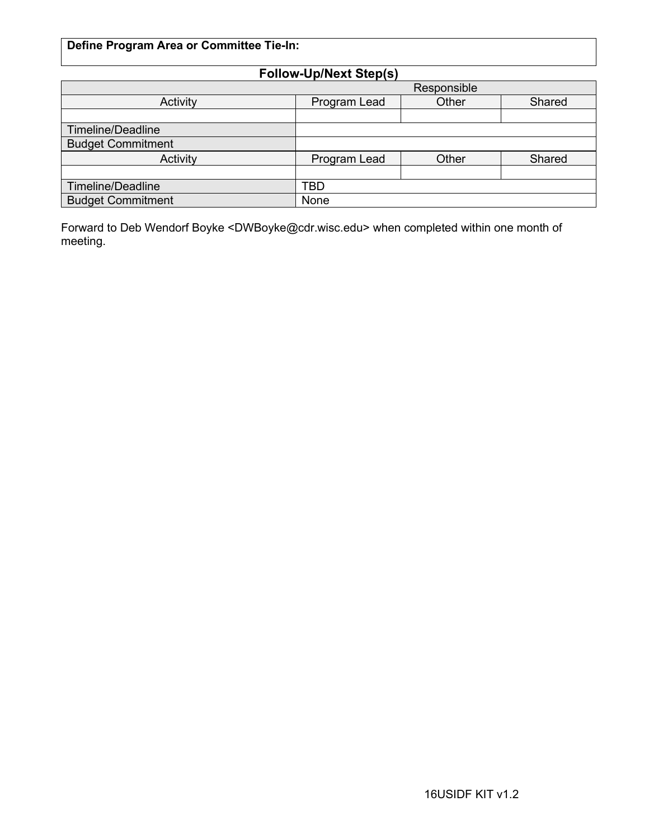### **Define Program Area or Committee Tie-In:**

| <b>Follow-Up/Next Step(s)</b> |              |       |        |  |
|-------------------------------|--------------|-------|--------|--|
|                               | Responsible  |       |        |  |
| Activity                      | Program Lead | Other | Shared |  |
|                               |              |       |        |  |
| <b>Timeline/Deadline</b>      |              |       |        |  |
| <b>Budget Commitment</b>      |              |       |        |  |
| Activity                      | Program Lead | Other | Shared |  |
|                               |              |       |        |  |
| <b>Timeline/Deadline</b>      | TBD          |       |        |  |
| <b>Budget Commitment</b>      | None         |       |        |  |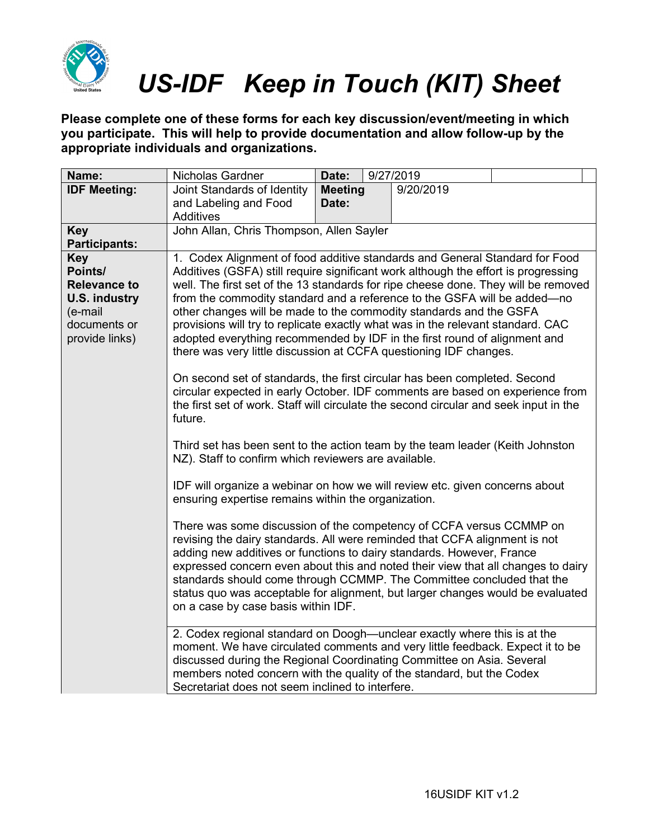

**Please complete one of these forms for each key discussion/event/meeting in which you participate. This will help to provide documentation and allow follow-up by the appropriate individuals and organizations.**

| Name:                                                                                                             | Nicholas Gardner                                                                                                                                                                                                                                                                                                                                                                                                                                                                                                                                                                                                                                                                                                                                                                                                                                                                                                                                                                                                                                                                                                                                                                                                                                                                                                                                                                                                                                                                                                                                                                                                                                                                                                    | Date:                   | 9/27/2019 |  |
|-------------------------------------------------------------------------------------------------------------------|---------------------------------------------------------------------------------------------------------------------------------------------------------------------------------------------------------------------------------------------------------------------------------------------------------------------------------------------------------------------------------------------------------------------------------------------------------------------------------------------------------------------------------------------------------------------------------------------------------------------------------------------------------------------------------------------------------------------------------------------------------------------------------------------------------------------------------------------------------------------------------------------------------------------------------------------------------------------------------------------------------------------------------------------------------------------------------------------------------------------------------------------------------------------------------------------------------------------------------------------------------------------------------------------------------------------------------------------------------------------------------------------------------------------------------------------------------------------------------------------------------------------------------------------------------------------------------------------------------------------------------------------------------------------------------------------------------------------|-------------------------|-----------|--|
| <b>IDF Meeting:</b>                                                                                               | Joint Standards of Identity<br>and Labeling and Food<br>Additives                                                                                                                                                                                                                                                                                                                                                                                                                                                                                                                                                                                                                                                                                                                                                                                                                                                                                                                                                                                                                                                                                                                                                                                                                                                                                                                                                                                                                                                                                                                                                                                                                                                   | <b>Meeting</b><br>Date: | 9/20/2019 |  |
| <b>Key</b><br><b>Participants:</b>                                                                                | John Allan, Chris Thompson, Allen Sayler                                                                                                                                                                                                                                                                                                                                                                                                                                                                                                                                                                                                                                                                                                                                                                                                                                                                                                                                                                                                                                                                                                                                                                                                                                                                                                                                                                                                                                                                                                                                                                                                                                                                            |                         |           |  |
| <b>Key</b><br>Points/<br><b>Relevance to</b><br><b>U.S. industry</b><br>(e-mail<br>documents or<br>provide links) | 1. Codex Alignment of food additive standards and General Standard for Food<br>Additives (GSFA) still require significant work although the effort is progressing<br>well. The first set of the 13 standards for ripe cheese done. They will be removed<br>from the commodity standard and a reference to the GSFA will be added—no<br>other changes will be made to the commodity standards and the GSFA<br>provisions will try to replicate exactly what was in the relevant standard. CAC<br>adopted everything recommended by IDF in the first round of alignment and<br>there was very little discussion at CCFA questioning IDF changes.<br>On second set of standards, the first circular has been completed. Second<br>circular expected in early October. IDF comments are based on experience from<br>the first set of work. Staff will circulate the second circular and seek input in the<br>future.<br>Third set has been sent to the action team by the team leader (Keith Johnston<br>NZ). Staff to confirm which reviewers are available.<br>IDF will organize a webinar on how we will review etc. given concerns about<br>ensuring expertise remains within the organization.<br>There was some discussion of the competency of CCFA versus CCMMP on<br>revising the dairy standards. All were reminded that CCFA alignment is not<br>adding new additives or functions to dairy standards. However, France<br>expressed concern even about this and noted their view that all changes to dairy<br>standards should come through CCMMP. The Committee concluded that the<br>status quo was acceptable for alignment, but larger changes would be evaluated<br>on a case by case basis within IDF. |                         |           |  |
|                                                                                                                   | 2. Codex regional standard on Doogh—unclear exactly where this is at the<br>moment. We have circulated comments and very little feedback. Expect it to be<br>discussed during the Regional Coordinating Committee on Asia. Several                                                                                                                                                                                                                                                                                                                                                                                                                                                                                                                                                                                                                                                                                                                                                                                                                                                                                                                                                                                                                                                                                                                                                                                                                                                                                                                                                                                                                                                                                  |                         |           |  |
|                                                                                                                   | members noted concern with the quality of the standard, but the Codex<br>Secretariat does not seem inclined to interfere.                                                                                                                                                                                                                                                                                                                                                                                                                                                                                                                                                                                                                                                                                                                                                                                                                                                                                                                                                                                                                                                                                                                                                                                                                                                                                                                                                                                                                                                                                                                                                                                           |                         |           |  |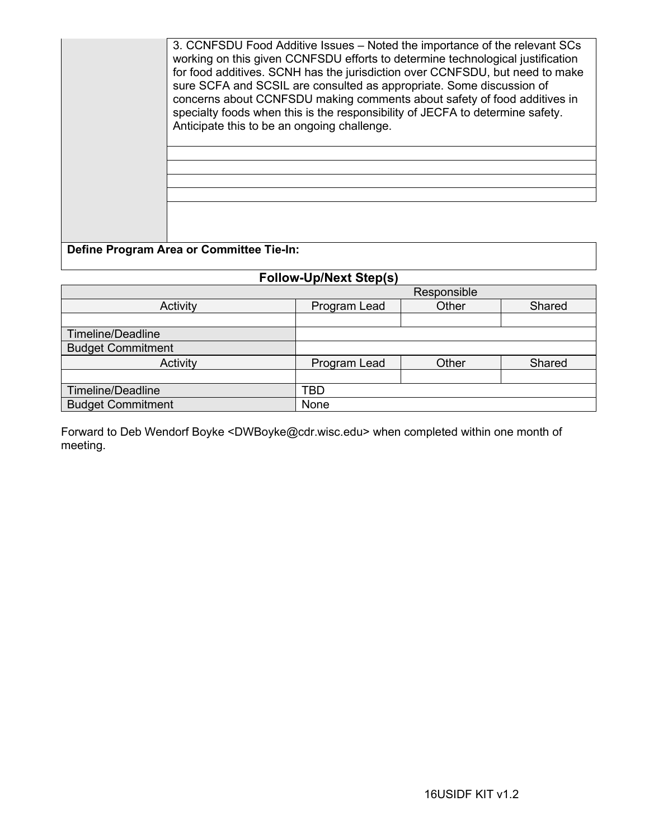| 3. CCNFSDU Food Additive Issues – Noted the importance of the relevant SCs<br>working on this given CCNFSDU efforts to determine technological justification<br>for food additives. SCNH has the jurisdiction over CCNFSDU, but need to make<br>sure SCFA and SCSIL are consulted as appropriate. Some discussion of<br>concerns about CCNFSDU making comments about safety of food additives in<br>specialty foods when this is the responsibility of JECFA to determine safety.<br>Anticipate this to be an ongoing challenge. |
|----------------------------------------------------------------------------------------------------------------------------------------------------------------------------------------------------------------------------------------------------------------------------------------------------------------------------------------------------------------------------------------------------------------------------------------------------------------------------------------------------------------------------------|
| Define Program Area or Committee Tie-In:                                                                                                                                                                                                                                                                                                                                                                                                                                                                                         |

### **Follow-Up/Next Step(s)**

|                          | Responsible                     |       |        |  |  |
|--------------------------|---------------------------------|-------|--------|--|--|
| Activity                 | Program Lead<br>Other<br>Shared |       |        |  |  |
|                          |                                 |       |        |  |  |
| Timeline/Deadline        |                                 |       |        |  |  |
| <b>Budget Commitment</b> |                                 |       |        |  |  |
| Activity                 | Program Lead                    | Other | Shared |  |  |
|                          |                                 |       |        |  |  |
| Timeline/Deadline        | TBD                             |       |        |  |  |
| <b>Budget Commitment</b> | None                            |       |        |  |  |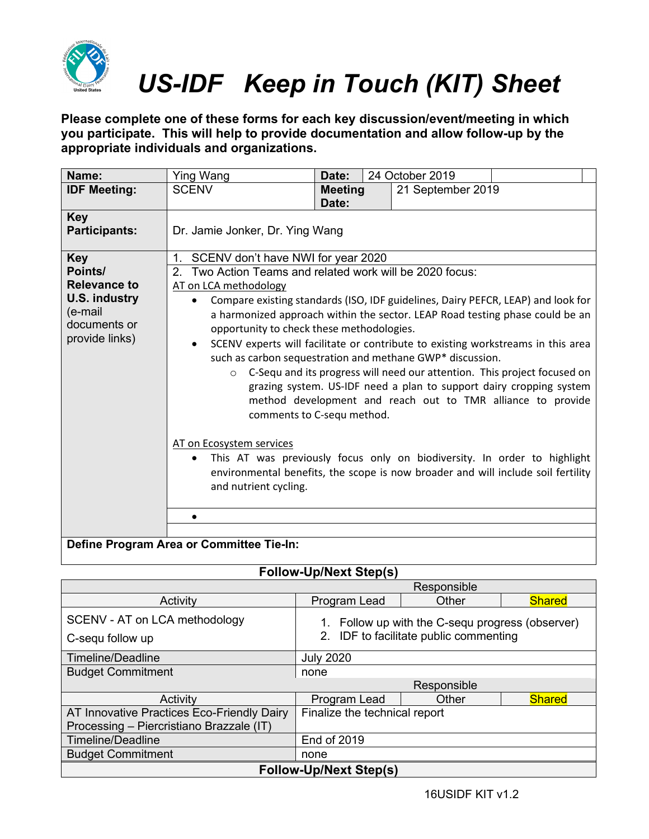

**Please complete one of these forms for each key discussion/event/meeting in which you participate. This will help to provide documentation and allow follow-up by the appropriate individuals and organizations.**

| Name:                                                                                                             | <b>Ying Wang</b>                                                                                                                                                                                                                                                                                                                                                                                                                                                                                                                                                                                           | Date:                      | 24 October 2019   |                                                                                                                                                                                                                                                                                                                                                                                    |  |
|-------------------------------------------------------------------------------------------------------------------|------------------------------------------------------------------------------------------------------------------------------------------------------------------------------------------------------------------------------------------------------------------------------------------------------------------------------------------------------------------------------------------------------------------------------------------------------------------------------------------------------------------------------------------------------------------------------------------------------------|----------------------------|-------------------|------------------------------------------------------------------------------------------------------------------------------------------------------------------------------------------------------------------------------------------------------------------------------------------------------------------------------------------------------------------------------------|--|
| <b>IDF Meeting:</b>                                                                                               | <b>SCENV</b>                                                                                                                                                                                                                                                                                                                                                                                                                                                                                                                                                                                               | <b>Meeting</b><br>Date:    | 21 September 2019 |                                                                                                                                                                                                                                                                                                                                                                                    |  |
| <b>Key</b><br><b>Participants:</b>                                                                                | Dr. Jamie Jonker, Dr. Ying Wang                                                                                                                                                                                                                                                                                                                                                                                                                                                                                                                                                                            |                            |                   |                                                                                                                                                                                                                                                                                                                                                                                    |  |
| <b>Key</b><br>Points/<br><b>Relevance to</b><br><b>U.S. industry</b><br>(e-mail<br>documents or<br>provide links) | SCENV don't have NWI for year 2020<br>$1_{-}$<br>Two Action Teams and related work will be 2020 focus:<br>2.<br>AT on LCA methodology<br>Compare existing standards (ISO, IDF guidelines, Dairy PEFCR, LEAP) and look for<br>$\bullet$<br>opportunity to check these methodologies.<br>SCENV experts will facilitate or contribute to existing workstreams in this area<br>$\bullet$<br>such as carbon sequestration and methane GWP* discussion.<br>$\circ$<br>AT on Ecosystem services<br>This AT was previously focus only on biodiversity. In order to highlight<br>$\bullet$<br>and nutrient cycling. | comments to C-sequ method. |                   | a harmonized approach within the sector. LEAP Road testing phase could be an<br>C-Sequ and its progress will need our attention. This project focused on<br>grazing system. US-IDF need a plan to support dairy cropping system<br>method development and reach out to TMR alliance to provide<br>environmental benefits, the scope is now broader and will include soil fertility |  |
|                                                                                                                   | $\bullet$<br>Define Program Area or Committee Tie-In:                                                                                                                                                                                                                                                                                                                                                                                                                                                                                                                                                      |                            |                   |                                                                                                                                                                                                                                                                                                                                                                                    |  |

|                                                   | Responsible                                                                             |       |               |  |  |
|---------------------------------------------------|-----------------------------------------------------------------------------------------|-------|---------------|--|--|
| Activity                                          | Program Lead                                                                            | Other | <b>Shared</b> |  |  |
| SCENV - AT on LCA methodology<br>C-sequ follow up | Follow up with the C-sequ progress (observer)<br>2. IDF to facilitate public commenting |       |               |  |  |
| Timeline/Deadline                                 | <b>July 2020</b>                                                                        |       |               |  |  |
| <b>Budget Commitment</b>                          | none                                                                                    |       |               |  |  |
|                                                   | Responsible                                                                             |       |               |  |  |
| Activity                                          | Program Lead                                                                            | Other | <b>Shared</b> |  |  |
| AT Innovative Practices Eco-Friendly Dairy        | Finalize the technical report                                                           |       |               |  |  |
| Processing - Piercristiano Brazzale (IT)          |                                                                                         |       |               |  |  |
| Timeline/Deadline                                 | <b>End of 2019</b>                                                                      |       |               |  |  |
| <b>Budget Commitment</b>                          | none                                                                                    |       |               |  |  |
| <b>Follow-Up/Next Step(s)</b>                     |                                                                                         |       |               |  |  |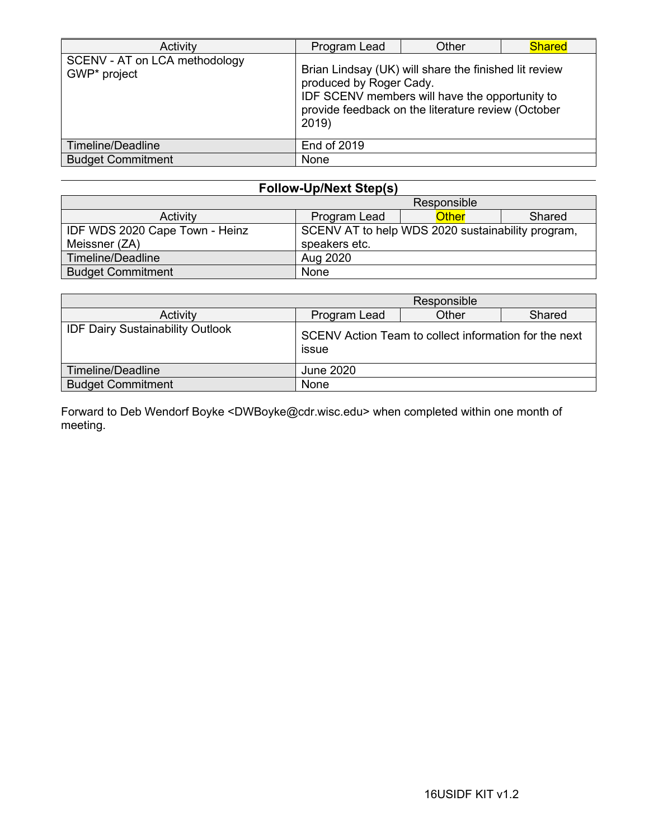| Activity                                      | Other<br>Program Lead                                                                                                                                                                             |  | <b>Shared</b> |  |
|-----------------------------------------------|---------------------------------------------------------------------------------------------------------------------------------------------------------------------------------------------------|--|---------------|--|
| SCENV - AT on LCA methodology<br>GWP* project | Brian Lindsay (UK) will share the finished lit review<br>produced by Roger Cady.<br>IDF SCENV members will have the opportunity to<br>provide feedback on the literature review (October<br>2019) |  |               |  |
| Timeline/Deadline                             | <b>End of 2019</b>                                                                                                                                                                                |  |               |  |
| <b>Budget Commitment</b>                      | None                                                                                                                                                                                              |  |               |  |

| <b>Follow-Up/Next Step(s)</b>                                                       |               |  |       |        |
|-------------------------------------------------------------------------------------|---------------|--|-------|--------|
| Responsible                                                                         |               |  |       |        |
| Activity                                                                            | Program Lead  |  | Other | Shared |
| IDF WDS 2020 Cape Town - Heinz<br>SCENV AT to help WDS 2020 sustainability program, |               |  |       |        |
| Meissner (ZA)                                                                       | speakers etc. |  |       |        |
| Timeline/Deadline                                                                   | Aug 2020      |  |       |        |
| <b>Budget Commitment</b>                                                            | None          |  |       |        |

|                                         | Responsible                                                    |  |  |  |  |
|-----------------------------------------|----------------------------------------------------------------|--|--|--|--|
| Activity                                | Other<br>Program Lead<br>Shared                                |  |  |  |  |
| <b>IDF Dairy Sustainability Outlook</b> | SCENV Action Team to collect information for the next<br>issue |  |  |  |  |
| Timeline/Deadline                       | <b>June 2020</b>                                               |  |  |  |  |
| <b>Budget Commitment</b>                | None                                                           |  |  |  |  |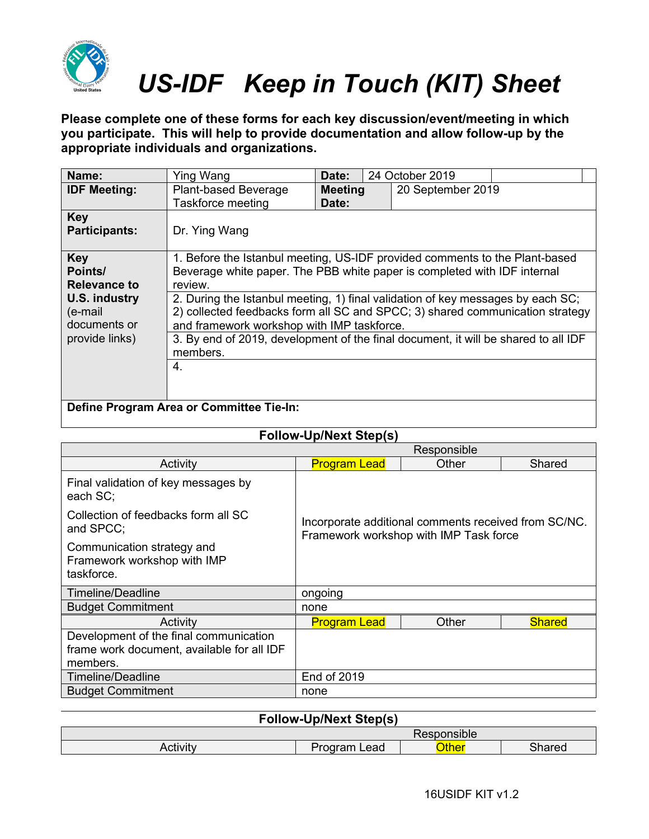

**Please complete one of these forms for each key discussion/event/meeting in which you participate. This will help to provide documentation and allow follow-up by the appropriate individuals and organizations.**

| Name:                                        | Ying Wang                                                                                                                                                                                                      | Date:                   |  | 24 October 2019   |  |
|----------------------------------------------|----------------------------------------------------------------------------------------------------------------------------------------------------------------------------------------------------------------|-------------------------|--|-------------------|--|
| <b>IDF Meeting:</b>                          | <b>Plant-based Beverage</b><br>Taskforce meeting                                                                                                                                                               | <b>Meeting</b><br>Date: |  | 20 September 2019 |  |
| <b>Key</b><br><b>Participants:</b>           | Dr. Ying Wang                                                                                                                                                                                                  |                         |  |                   |  |
| <b>Key</b><br>Points/<br><b>Relevance to</b> | 1. Before the Istanbul meeting, US-IDF provided comments to the Plant-based<br>Beverage white paper. The PBB white paper is completed with IDF internal<br>review.                                             |                         |  |                   |  |
| U.S. industry<br>(e-mail<br>documents or     | 2. During the Istanbul meeting, 1) final validation of key messages by each SC;<br>2) collected feedbacks form all SC and SPCC; 3) shared communication strategy<br>and framework workshop with IMP taskforce. |                         |  |                   |  |
| provide links)                               | 3. By end of 2019, development of the final document, it will be shared to all IDF<br>members.                                                                                                                 |                         |  |                   |  |
|                                              | 4.                                                                                                                                                                                                             |                         |  |                   |  |
| Define Program Area or Committee Tie-In:     |                                                                                                                                                                                                                |                         |  |                   |  |

|                                                                                                  | Responsible                                                                                    |       |               |  |  |
|--------------------------------------------------------------------------------------------------|------------------------------------------------------------------------------------------------|-------|---------------|--|--|
| Activity                                                                                         | <b>Program Lead</b><br>Other<br>Shared                                                         |       |               |  |  |
| Final validation of key messages by<br>each SC;                                                  |                                                                                                |       |               |  |  |
| Collection of feedbacks form all SC<br>and SPCC;                                                 | Incorporate additional comments received from SC/NC.<br>Framework workshop with IMP Task force |       |               |  |  |
| Communication strategy and<br>Framework workshop with IMP<br>taskforce.                          |                                                                                                |       |               |  |  |
| <b>Timeline/Deadline</b>                                                                         | ongoing                                                                                        |       |               |  |  |
| <b>Budget Commitment</b>                                                                         | none                                                                                           |       |               |  |  |
| Activity                                                                                         | <b>Program Lead</b>                                                                            | Other | <b>Shared</b> |  |  |
| Development of the final communication<br>frame work document, available for all IDF<br>members. |                                                                                                |       |               |  |  |
| Timeline/Deadline                                                                                | <b>End of 2019</b>                                                                             |       |               |  |  |
| <b>Budget Commitment</b>                                                                         | none                                                                                           |       |               |  |  |

| <b>Follow-Up/Next Step(s)</b>                      |  |  |  |  |  |
|----------------------------------------------------|--|--|--|--|--|
| Responsible                                        |  |  |  |  |  |
| <b>Other</b><br>Activity<br>Shared<br>Program Lead |  |  |  |  |  |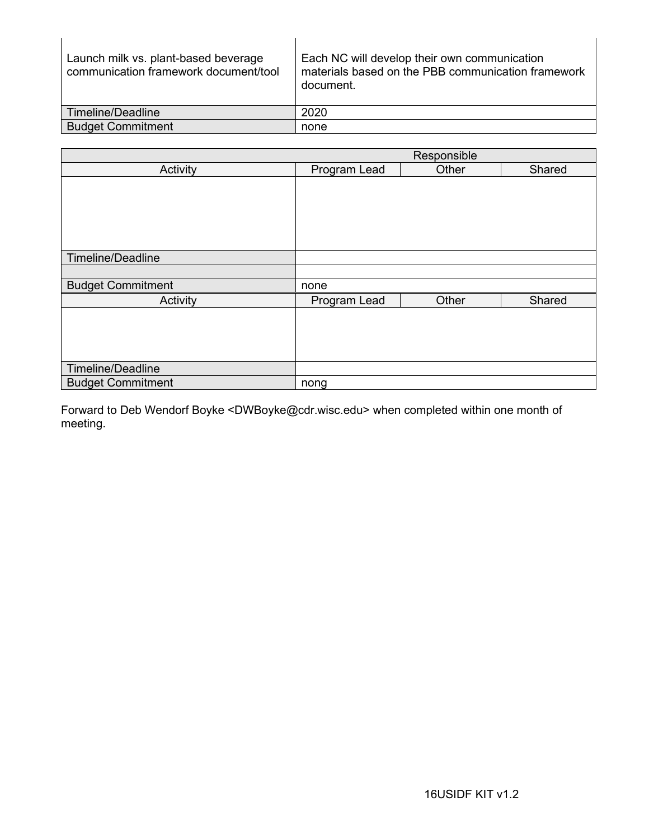| Launch milk vs. plant-based beverage<br>communication framework document/tool | Each NC will develop their own communication<br>materials based on the PBB communication framework<br>document. |
|-------------------------------------------------------------------------------|-----------------------------------------------------------------------------------------------------------------|
| Timeline/Deadline                                                             | 2020                                                                                                            |
| <b>Budget Commitment</b>                                                      | none                                                                                                            |

|                          | Responsible  |       |        |  |  |
|--------------------------|--------------|-------|--------|--|--|
| Activity                 | Program Lead | Other | Shared |  |  |
|                          |              |       |        |  |  |
|                          |              |       |        |  |  |
|                          |              |       |        |  |  |
|                          |              |       |        |  |  |
|                          |              |       |        |  |  |
|                          |              |       |        |  |  |
| Timeline/Deadline        |              |       |        |  |  |
|                          |              |       |        |  |  |
| <b>Budget Commitment</b> | none         |       |        |  |  |
| Activity                 | Program Lead | Other | Shared |  |  |
|                          |              |       |        |  |  |
|                          |              |       |        |  |  |
|                          |              |       |        |  |  |
|                          |              |       |        |  |  |
| Timeline/Deadline        |              |       |        |  |  |
| <b>Budget Commitment</b> | nong         |       |        |  |  |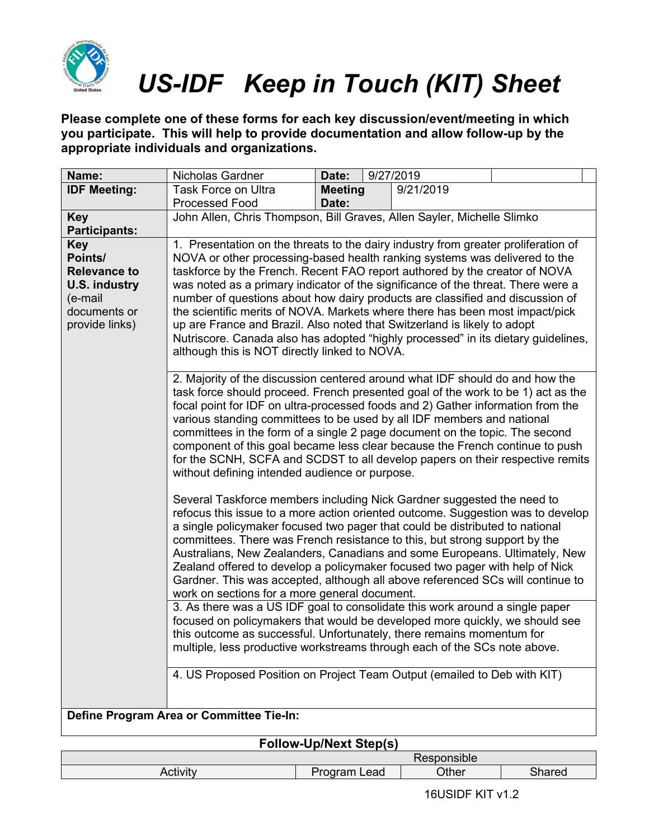

**Please complete one of these forms for each key discussion/event/meeting in which you participate. This will help to provide documentation and allow follow-up by the appropriate individuals and organizations.**

| Name:                                                                                                             | Nicholas Gardner                                                                                                                                                                                                                                                                                                                                                                                                                                                                                                                                                                                                                                                                                                      | Date:          | 9/27/2019 |  |  |  |
|-------------------------------------------------------------------------------------------------------------------|-----------------------------------------------------------------------------------------------------------------------------------------------------------------------------------------------------------------------------------------------------------------------------------------------------------------------------------------------------------------------------------------------------------------------------------------------------------------------------------------------------------------------------------------------------------------------------------------------------------------------------------------------------------------------------------------------------------------------|----------------|-----------|--|--|--|
| <b>IDF Meeting:</b>                                                                                               | <b>Task Force on Ultra</b>                                                                                                                                                                                                                                                                                                                                                                                                                                                                                                                                                                                                                                                                                            | <b>Meeting</b> | 9/21/2019 |  |  |  |
|                                                                                                                   | Processed Food                                                                                                                                                                                                                                                                                                                                                                                                                                                                                                                                                                                                                                                                                                        | Date:          |           |  |  |  |
| <b>Key</b>                                                                                                        | John Allen, Chris Thompson, Bill Graves, Allen Sayler, Michelle Slimko                                                                                                                                                                                                                                                                                                                                                                                                                                                                                                                                                                                                                                                |                |           |  |  |  |
| <b>Participants:</b>                                                                                              |                                                                                                                                                                                                                                                                                                                                                                                                                                                                                                                                                                                                                                                                                                                       |                |           |  |  |  |
| <b>Key</b><br>Points/<br><b>Relevance to</b><br><b>U.S. industry</b><br>(e-mail<br>documents or<br>provide links) | 1. Presentation on the threats to the dairy industry from greater proliferation of<br>NOVA or other processing-based health ranking systems was delivered to the<br>taskforce by the French. Recent FAO report authored by the creator of NOVA<br>was noted as a primary indicator of the significance of the threat. There were a<br>number of questions about how dairy products are classified and discussion of<br>the scientific merits of NOVA. Markets where there has been most impact/pick<br>up are France and Brazil. Also noted that Switzerland is likely to adopt<br>Nutriscore. Canada also has adopted "highly processed" in its dietary guidelines,<br>although this is NOT directly linked to NOVA. |                |           |  |  |  |
|                                                                                                                   | 2. Majority of the discussion centered around what IDF should do and how the<br>task force should proceed. French presented goal of the work to be 1) act as the<br>focal point for IDF on ultra-processed foods and 2) Gather information from the<br>various standing committees to be used by all IDF members and national<br>committees in the form of a single 2 page document on the topic. The second<br>component of this goal became less clear because the French continue to push<br>for the SCNH, SCFA and SCDST to all develop papers on their respective remits<br>without defining intended audience or purpose.                                                                                       |                |           |  |  |  |
|                                                                                                                   | Several Taskforce members including Nick Gardner suggested the need to<br>refocus this issue to a more action oriented outcome. Suggestion was to develop<br>a single policymaker focused two pager that could be distributed to national<br>committees. There was French resistance to this, but strong support by the<br>Australians, New Zealanders, Canadians and some Europeans. Ultimately, New<br>Zealand offered to develop a policymaker focused two pager with help of Nick<br>Gardner. This was accepted, although all above referenced SCs will continue to<br>work on sections for a more general document.                                                                                              |                |           |  |  |  |
|                                                                                                                   | 3. As there was a US IDF goal to consolidate this work around a single paper<br>focused on policymakers that would be developed more quickly, we should see<br>this outcome as successful. Unfortunately, there remains momentum for<br>multiple, less productive workstreams through each of the SCs note above.                                                                                                                                                                                                                                                                                                                                                                                                     |                |           |  |  |  |
|                                                                                                                   | 4. US Proposed Position on Project Team Output (emailed to Deb with KIT)                                                                                                                                                                                                                                                                                                                                                                                                                                                                                                                                                                                                                                              |                |           |  |  |  |
| Define Program Area or Committee Tie-In:                                                                          |                                                                                                                                                                                                                                                                                                                                                                                                                                                                                                                                                                                                                                                                                                                       |                |           |  |  |  |

|                 |                 | Responsible |        |
|-----------------|-----------------|-------------|--------|
| <b>Activity</b> | Program<br>Lead | Other       | Shared |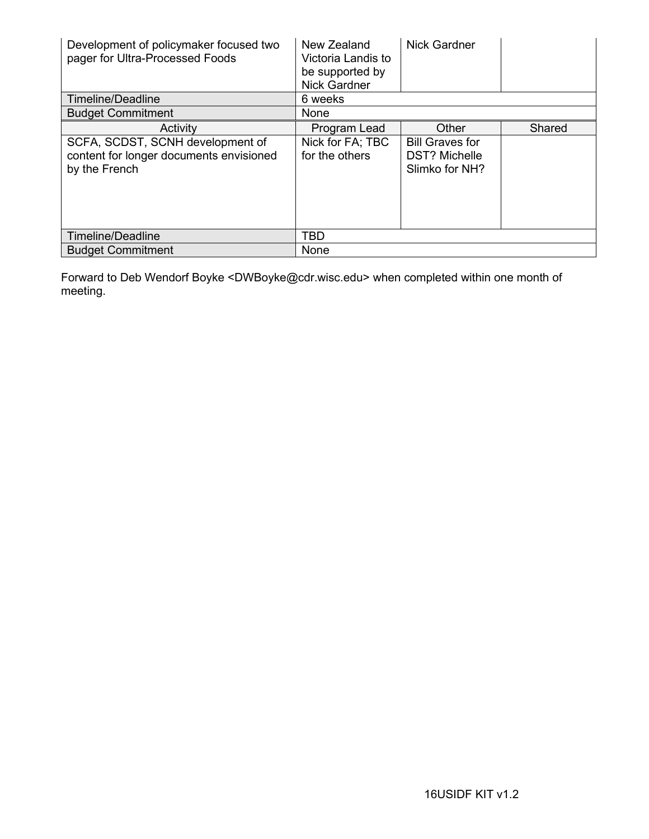| Development of policymaker focused two<br>pager for Ultra-Processed Foods                    | New Zealand<br>Victoria Landis to<br>be supported by<br><b>Nick Gardner</b> | <b>Nick Gardner</b>                                              |        |
|----------------------------------------------------------------------------------------------|-----------------------------------------------------------------------------|------------------------------------------------------------------|--------|
| Timeline/Deadline                                                                            | 6 weeks                                                                     |                                                                  |        |
| <b>Budget Commitment</b>                                                                     | None                                                                        |                                                                  |        |
| Activity                                                                                     | Program Lead                                                                | Other                                                            | Shared |
| SCFA, SCDST, SCNH development of<br>content for longer documents envisioned<br>by the French | Nick for FA; TBC<br>for the others                                          | <b>Bill Graves for</b><br><b>DST? Michelle</b><br>Slimko for NH? |        |
| Timeline/Deadline                                                                            | <b>TBD</b>                                                                  |                                                                  |        |
| <b>Budget Commitment</b>                                                                     | None                                                                        |                                                                  |        |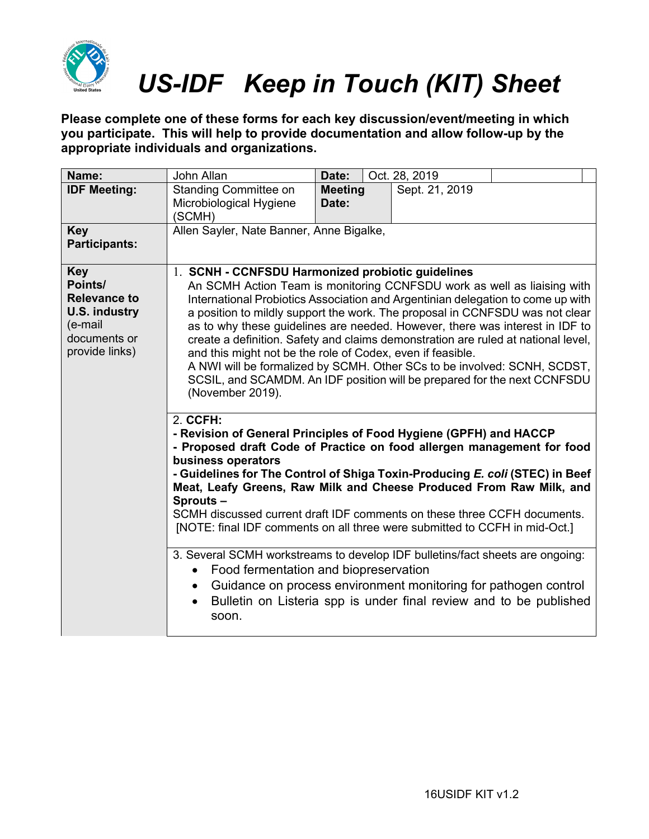

**Please complete one of these forms for each key discussion/event/meeting in which you participate. This will help to provide documentation and allow follow-up by the appropriate individuals and organizations.**

| Name:                                                                                                             | John Allan                                                                                                                                                                                                                                                                                                                                                                                                                                                                                                                                                                                                                                                                                                     | Date:                   |  | Oct. 28, 2019  |  |  |
|-------------------------------------------------------------------------------------------------------------------|----------------------------------------------------------------------------------------------------------------------------------------------------------------------------------------------------------------------------------------------------------------------------------------------------------------------------------------------------------------------------------------------------------------------------------------------------------------------------------------------------------------------------------------------------------------------------------------------------------------------------------------------------------------------------------------------------------------|-------------------------|--|----------------|--|--|
| <b>IDF Meeting:</b>                                                                                               | <b>Standing Committee on</b><br>Microbiological Hygiene<br>(SCMH)                                                                                                                                                                                                                                                                                                                                                                                                                                                                                                                                                                                                                                              | <b>Meeting</b><br>Date: |  | Sept. 21, 2019 |  |  |
| <b>Key</b><br><b>Participants:</b>                                                                                | Allen Sayler, Nate Banner, Anne Bigalke,                                                                                                                                                                                                                                                                                                                                                                                                                                                                                                                                                                                                                                                                       |                         |  |                |  |  |
| <b>Key</b><br>Points/<br><b>Relevance to</b><br><b>U.S. industry</b><br>(e-mail<br>documents or<br>provide links) | 1. SCNH - CCNFSDU Harmonized probiotic guidelines<br>An SCMH Action Team is monitoring CCNFSDU work as well as liaising with<br>International Probiotics Association and Argentinian delegation to come up with<br>a position to mildly support the work. The proposal in CCNFSDU was not clear<br>as to why these guidelines are needed. However, there was interest in IDF to<br>create a definition. Safety and claims demonstration are ruled at national level,<br>and this might not be the role of Codex, even if feasible.<br>A NWI will be formalized by SCMH. Other SCs to be involved: SCNH, SCDST,<br>SCSIL, and SCAMDM. An IDF position will be prepared for the next CCNFSDU<br>(November 2019). |                         |  |                |  |  |
|                                                                                                                   | 2. CCFH:<br>- Revision of General Principles of Food Hygiene (GPFH) and HACCP<br>- Proposed draft Code of Practice on food allergen management for food<br>business operators<br>- Guidelines for The Control of Shiga Toxin-Producing E. coli (STEC) in Beef<br>Meat, Leafy Greens, Raw Milk and Cheese Produced From Raw Milk, and<br>Sprouts-<br>SCMH discussed current draft IDF comments on these three CCFH documents.<br>[NOTE: final IDF comments on all three were submitted to CCFH in mid-Oct.]                                                                                                                                                                                                     |                         |  |                |  |  |
|                                                                                                                   | 3. Several SCMH workstreams to develop IDF bulletins/fact sheets are ongoing:<br>Food fermentation and biopreservation<br>$\bullet$<br>Guidance on process environment monitoring for pathogen control<br>$\bullet$<br>Bulletin on Listeria spp is under final review and to be published<br>$\bullet$<br>soon.                                                                                                                                                                                                                                                                                                                                                                                                |                         |  |                |  |  |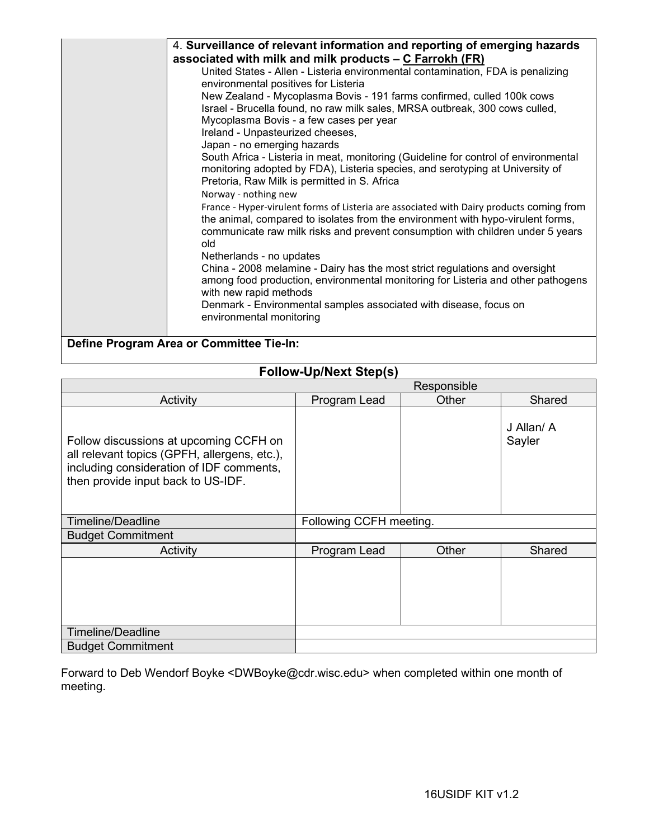| 4. Surveillance of relevant information and reporting of emerging hazards                                                                                       |
|-----------------------------------------------------------------------------------------------------------------------------------------------------------------|
| associated with milk and milk products – C Farrokh (FR)                                                                                                         |
| United States - Allen - Listeria environmental contamination, FDA is penalizing                                                                                 |
| environmental positives for Listeria                                                                                                                            |
| New Zealand - Mycoplasma Bovis - 191 farms confirmed, culled 100k cows                                                                                          |
| Israel - Brucella found, no raw milk sales, MRSA outbreak, 300 cows culled,                                                                                     |
| Mycoplasma Bovis - a few cases per year                                                                                                                         |
| Ireland - Unpasteurized cheeses,                                                                                                                                |
| Japan - no emerging hazards                                                                                                                                     |
| South Africa - Listeria in meat, monitoring (Guideline for control of environmental                                                                             |
| monitoring adopted by FDA), Listeria species, and serotyping at University of                                                                                   |
| Pretoria, Raw Milk is permitted in S. Africa                                                                                                                    |
| Norway - nothing new                                                                                                                                            |
| France - Hyper-virulent forms of Listeria are associated with Dairy products coming from                                                                        |
| the animal, compared to isolates from the environment with hypo-virulent forms,                                                                                 |
| communicate raw milk risks and prevent consumption with children under 5 years                                                                                  |
| old                                                                                                                                                             |
| Netherlands - no updates                                                                                                                                        |
| China - 2008 melamine - Dairy has the most strict regulations and oversight<br>among food production, environmental monitoring for Listeria and other pathogens |
| with new rapid methods                                                                                                                                          |
| Denmark - Environmental samples associated with disease, focus on                                                                                               |
| environmental monitoring                                                                                                                                        |
|                                                                                                                                                                 |
| Define Program Area or Committee Tie-In:                                                                                                                        |

### **Follow-Up/Next Step(s)**

|                                                                                                                                                                          | Responsible             |       |                      |  |
|--------------------------------------------------------------------------------------------------------------------------------------------------------------------------|-------------------------|-------|----------------------|--|
| Activity                                                                                                                                                                 | Program Lead            | Other | Shared               |  |
| Follow discussions at upcoming CCFH on<br>all relevant topics (GPFH, allergens, etc.),<br>including consideration of IDF comments,<br>then provide input back to US-IDF. |                         |       | J Allan/ A<br>Sayler |  |
| <b>Timeline/Deadline</b>                                                                                                                                                 | Following CCFH meeting. |       |                      |  |
| <b>Budget Commitment</b>                                                                                                                                                 |                         |       |                      |  |
| Activity                                                                                                                                                                 | Program Lead            | Other | Shared               |  |
|                                                                                                                                                                          |                         |       |                      |  |
| <b>Timeline/Deadline</b>                                                                                                                                                 |                         |       |                      |  |
| <b>Budget Commitment</b>                                                                                                                                                 |                         |       |                      |  |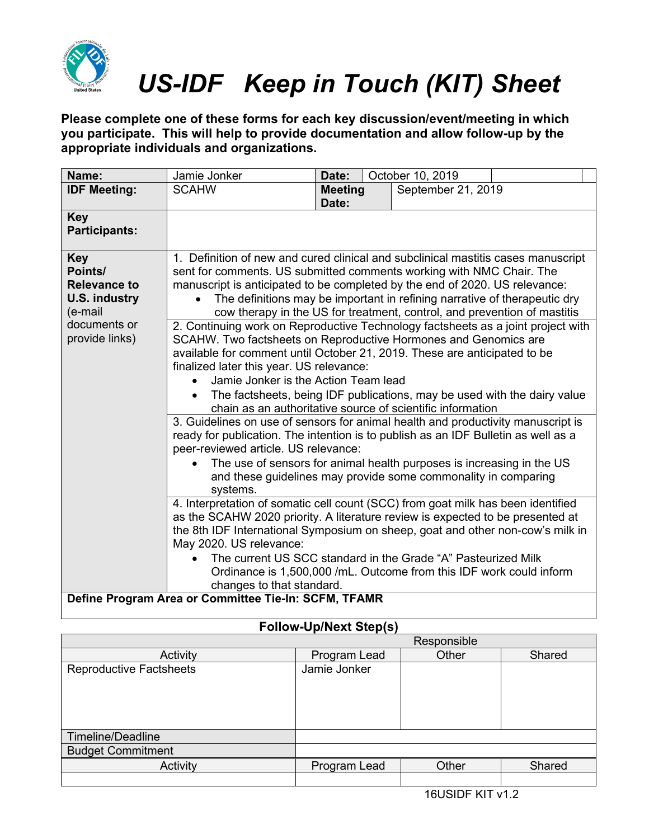

**Please complete one of these forms for each key discussion/event/meeting in which you participate. This will help to provide documentation and allow follow-up by the appropriate individuals and organizations.**

| Name:                                                                                                             | Jamie Jonker                                                                                                                                                                                                                                                                                                                                                                                                                                                                                                                                                                                                                                                                                                                                                                                                                                                                                                                                                                                                                                                                                                                                                                                                                                               | Date:                   |  | October 10, 2019   |  |
|-------------------------------------------------------------------------------------------------------------------|------------------------------------------------------------------------------------------------------------------------------------------------------------------------------------------------------------------------------------------------------------------------------------------------------------------------------------------------------------------------------------------------------------------------------------------------------------------------------------------------------------------------------------------------------------------------------------------------------------------------------------------------------------------------------------------------------------------------------------------------------------------------------------------------------------------------------------------------------------------------------------------------------------------------------------------------------------------------------------------------------------------------------------------------------------------------------------------------------------------------------------------------------------------------------------------------------------------------------------------------------------|-------------------------|--|--------------------|--|
| <b>IDF Meeting:</b>                                                                                               | <b>SCAHW</b>                                                                                                                                                                                                                                                                                                                                                                                                                                                                                                                                                                                                                                                                                                                                                                                                                                                                                                                                                                                                                                                                                                                                                                                                                                               | <b>Meeting</b><br>Date: |  | September 21, 2019 |  |
| <b>Key</b><br><b>Participants:</b>                                                                                |                                                                                                                                                                                                                                                                                                                                                                                                                                                                                                                                                                                                                                                                                                                                                                                                                                                                                                                                                                                                                                                                                                                                                                                                                                                            |                         |  |                    |  |
| <b>Key</b><br>Points/<br><b>Relevance to</b><br><b>U.S. industry</b><br>(e-mail<br>documents or<br>provide links) | 1. Definition of new and cured clinical and subclinical mastitis cases manuscript<br>sent for comments. US submitted comments working with NMC Chair. The<br>manuscript is anticipated to be completed by the end of 2020. US relevance:<br>The definitions may be important in refining narrative of therapeutic dry<br>$\bullet$<br>cow therapy in the US for treatment, control, and prevention of mastitis<br>2. Continuing work on Reproductive Technology factsheets as a joint project with<br>SCAHW. Two factsheets on Reproductive Hormones and Genomics are<br>available for comment until October 21, 2019. These are anticipated to be<br>finalized later this year. US relevance:<br>Jamie Jonker is the Action Team lead<br>$\bullet$<br>The factsheets, being IDF publications, may be used with the dairy value<br>chain as an authoritative source of scientific information<br>3. Guidelines on use of sensors for animal health and productivity manuscript is<br>ready for publication. The intention is to publish as an IDF Bulletin as well as a<br>peer-reviewed article. US relevance:<br>The use of sensors for animal health purposes is increasing in the US<br>and these guidelines may provide some commonality in comparing |                         |  |                    |  |
|                                                                                                                   | systems.<br>4. Interpretation of somatic cell count (SCC) from goat milk has been identified<br>as the SCAHW 2020 priority. A literature review is expected to be presented at<br>the 8th IDF International Symposium on sheep, goat and other non-cow's milk in<br>May 2020. US relevance:<br>The current US SCC standard in the Grade "A" Pasteurized Milk<br>Ordinance is 1,500,000 /mL. Outcome from this IDF work could inform<br>changes to that standard.                                                                                                                                                                                                                                                                                                                                                                                                                                                                                                                                                                                                                                                                                                                                                                                           |                         |  |                    |  |
| Define Program Area or Committee Tie-In: SCFM, TFAMR                                                              |                                                                                                                                                                                                                                                                                                                                                                                                                                                                                                                                                                                                                                                                                                                                                                                                                                                                                                                                                                                                                                                                                                                                                                                                                                                            |                         |  |                    |  |

### **Follow-Up/Next Step(s)** Responsible Activity | Program Lead | Other | Shared Reproductive Factsheets Jamie Jonker Timeline/Deadline Budget Commitment Activity **Program Lead** Other Shared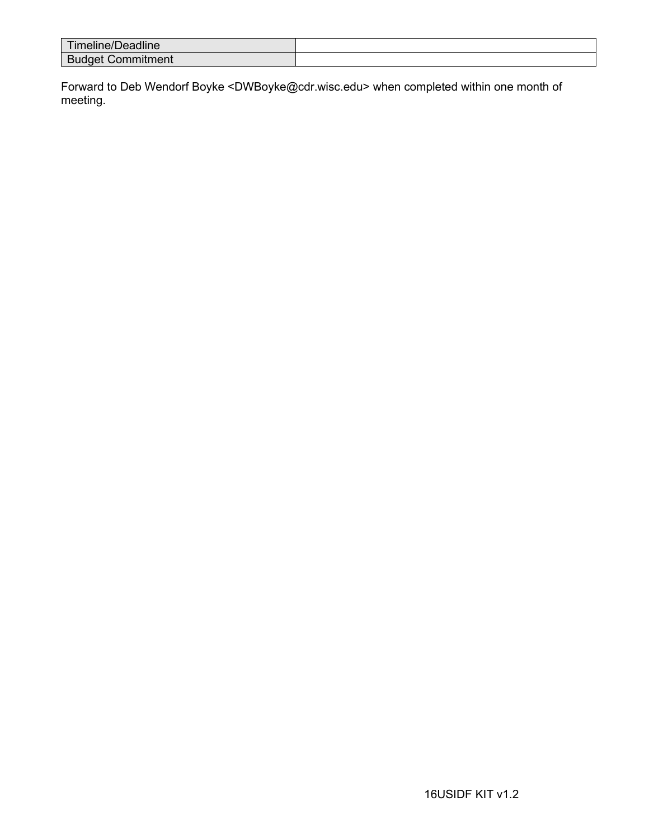| .<br>$- -$<br><u>Hilleline/Deadline</u> |  |
|-----------------------------------------|--|
| -<br><b>DUC</b><br>чени<br>™.           |  |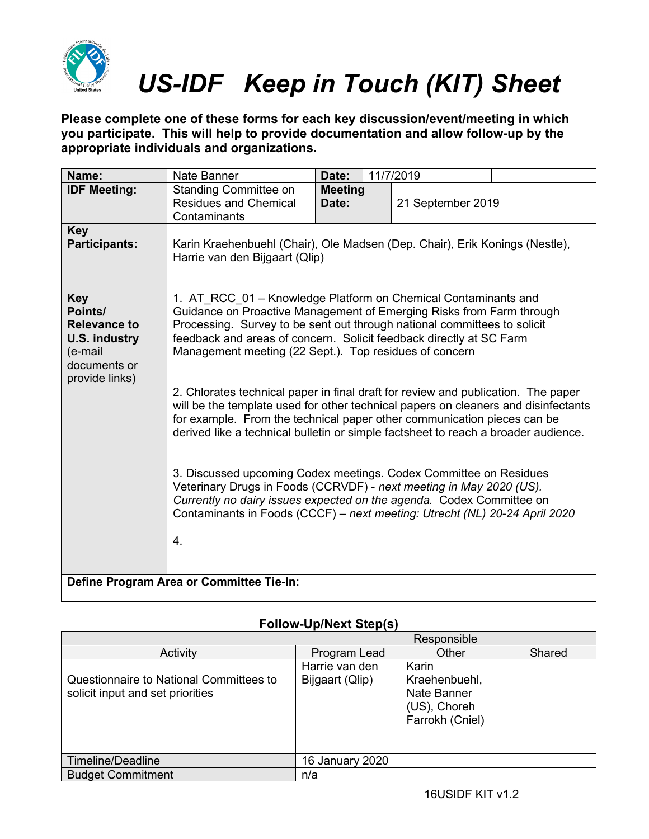

**Please complete one of these forms for each key discussion/event/meeting in which you participate. This will help to provide documentation and allow follow-up by the appropriate individuals and organizations.**

| Name:                                                                                               | Nate Banner                                                                                                                                                                                                                                                                                                                                                                                                                                                                                                                                                                                                                                                                                     | Date:                   |  | 11/7/2019         |  |
|-----------------------------------------------------------------------------------------------------|-------------------------------------------------------------------------------------------------------------------------------------------------------------------------------------------------------------------------------------------------------------------------------------------------------------------------------------------------------------------------------------------------------------------------------------------------------------------------------------------------------------------------------------------------------------------------------------------------------------------------------------------------------------------------------------------------|-------------------------|--|-------------------|--|
| <b>IDF Meeting:</b>                                                                                 | <b>Standing Committee on</b><br><b>Residues and Chemical</b><br>Contaminants                                                                                                                                                                                                                                                                                                                                                                                                                                                                                                                                                                                                                    | <b>Meeting</b><br>Date: |  | 21 September 2019 |  |
| <b>Key</b><br><b>Participants:</b>                                                                  | Karin Kraehenbuehl (Chair), Ole Madsen (Dep. Chair), Erik Konings (Nestle),<br>Harrie van den Bijgaart (Qlip)                                                                                                                                                                                                                                                                                                                                                                                                                                                                                                                                                                                   |                         |  |                   |  |
| Key<br>Points/<br>Relevance to<br><b>U.S. industry</b><br>(e-mail<br>documents or<br>provide links) | 1. AT_RCC_01 - Knowledge Platform on Chemical Contaminants and<br>Guidance on Proactive Management of Emerging Risks from Farm through<br>Processing. Survey to be sent out through national committees to solicit<br>feedback and areas of concern. Solicit feedback directly at SC Farm<br>Management meeting (22 Sept.). Top residues of concern<br>2. Chlorates technical paper in final draft for review and publication. The paper<br>will be the template used for other technical papers on cleaners and disinfectants<br>for example. From the technical paper other communication pieces can be<br>derived like a technical bulletin or simple factsheet to reach a broader audience. |                         |  |                   |  |
|                                                                                                     | 3. Discussed upcoming Codex meetings. Codex Committee on Residues<br>Veterinary Drugs in Foods (CCRVDF) - next meeting in May 2020 (US).<br>Currently no dairy issues expected on the agenda. Codex Committee on<br>Contaminants in Foods (CCCF) - next meeting: Utrecht (NL) 20-24 April 2020<br>4.                                                                                                                                                                                                                                                                                                                                                                                            |                         |  |                   |  |
| Define Program Area or Committee Tie-In:                                                            |                                                                                                                                                                                                                                                                                                                                                                                                                                                                                                                                                                                                                                                                                                 |                         |  |                   |  |

|                                                                             | Responsible                       |                                                                          |        |  |  |  |
|-----------------------------------------------------------------------------|-----------------------------------|--------------------------------------------------------------------------|--------|--|--|--|
| Activity                                                                    | Program Lead                      | Other                                                                    | Shared |  |  |  |
| Questionnaire to National Committees to<br>solicit input and set priorities | Harrie van den<br>Bijgaart (Qlip) | Karin<br>Kraehenbuehl,<br>Nate Banner<br>(US), Choreh<br>Farrokh (Cniel) |        |  |  |  |
| Timeline/Deadline                                                           | 16 January 2020                   |                                                                          |        |  |  |  |
| <b>Budget Commitment</b>                                                    | n/a                               |                                                                          |        |  |  |  |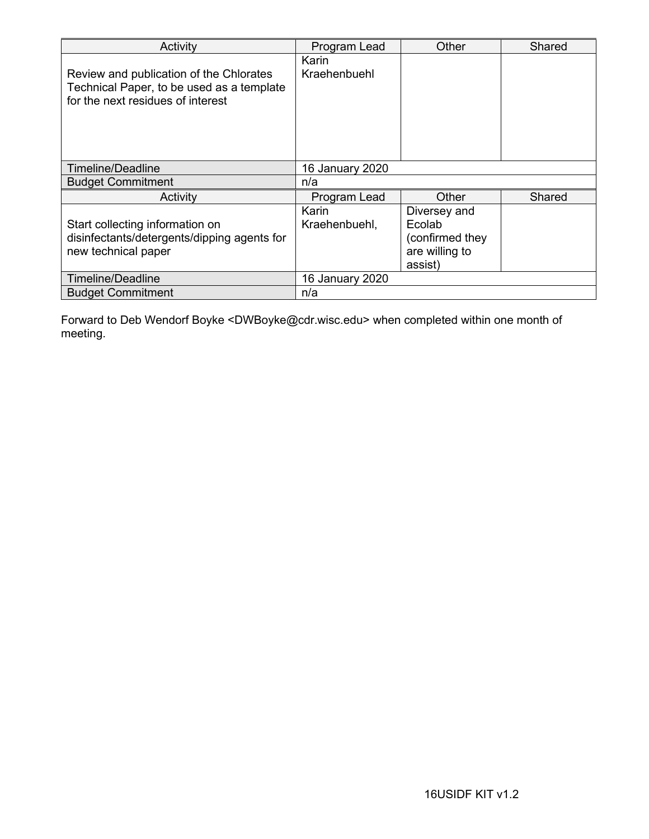| Activity                                                                                                                  | Program Lead           | Other                                                                  | Shared |
|---------------------------------------------------------------------------------------------------------------------------|------------------------|------------------------------------------------------------------------|--------|
| Review and publication of the Chlorates<br>Technical Paper, to be used as a template<br>for the next residues of interest | Karin<br>Kraehenbuehl  |                                                                        |        |
| <b>Timeline/Deadline</b>                                                                                                  | 16 January 2020        |                                                                        |        |
| <b>Budget Commitment</b>                                                                                                  | n/a                    |                                                                        |        |
| Activity                                                                                                                  | Program Lead           | Other                                                                  | Shared |
| Start collecting information on<br>disinfectants/detergents/dipping agents for<br>new technical paper                     | Karin<br>Kraehenbuehl, | Diversey and<br>Ecolab<br>(confirmed they<br>are willing to<br>assist) |        |
| <b>Timeline/Deadline</b>                                                                                                  | 16 January 2020        |                                                                        |        |
| <b>Budget Commitment</b>                                                                                                  | n/a                    |                                                                        |        |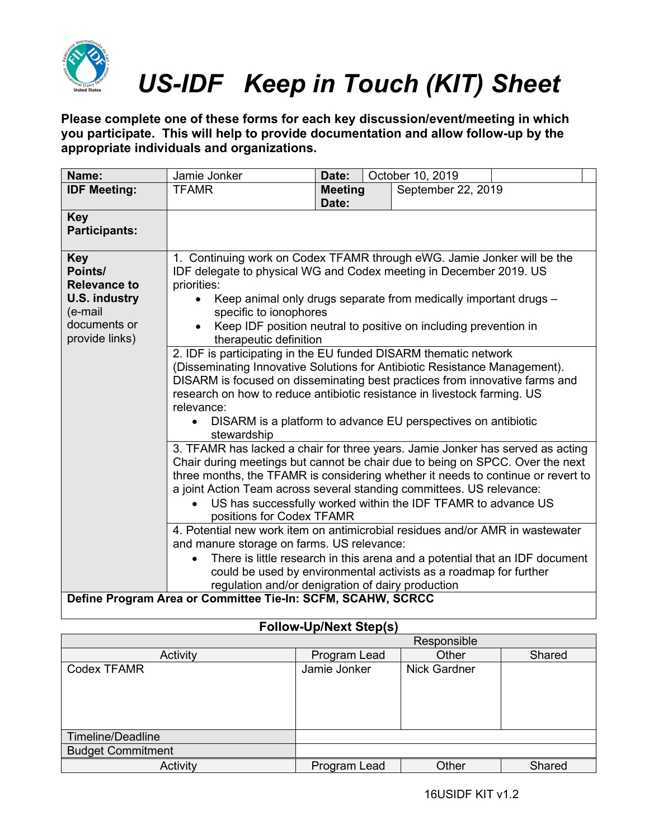

**Please complete one of these forms for each key discussion/event/meeting in which you participate. This will help to provide documentation and allow follow-up by the appropriate individuals and organizations.**

| Name:                                                                                                      | Jamie Jonker                                                                                                                                                                                                                                                                                                                                                                                                                                                                                                                                                                                                                                                                                                                                                                                                                                                                                                                                                                                                                                                                                                                                                                                                                                                                                                                                                                                                                                                                                                                                           | Date:                   |  | October 10, 2019   |  |
|------------------------------------------------------------------------------------------------------------|--------------------------------------------------------------------------------------------------------------------------------------------------------------------------------------------------------------------------------------------------------------------------------------------------------------------------------------------------------------------------------------------------------------------------------------------------------------------------------------------------------------------------------------------------------------------------------------------------------------------------------------------------------------------------------------------------------------------------------------------------------------------------------------------------------------------------------------------------------------------------------------------------------------------------------------------------------------------------------------------------------------------------------------------------------------------------------------------------------------------------------------------------------------------------------------------------------------------------------------------------------------------------------------------------------------------------------------------------------------------------------------------------------------------------------------------------------------------------------------------------------------------------------------------------------|-------------------------|--|--------------------|--|
| <b>IDF Meeting:</b>                                                                                        | <b>TFAMR</b>                                                                                                                                                                                                                                                                                                                                                                                                                                                                                                                                                                                                                                                                                                                                                                                                                                                                                                                                                                                                                                                                                                                                                                                                                                                                                                                                                                                                                                                                                                                                           | <b>Meeting</b><br>Date: |  | September 22, 2019 |  |
| <b>Key</b><br><b>Participants:</b>                                                                         |                                                                                                                                                                                                                                                                                                                                                                                                                                                                                                                                                                                                                                                                                                                                                                                                                                                                                                                                                                                                                                                                                                                                                                                                                                                                                                                                                                                                                                                                                                                                                        |                         |  |                    |  |
| <b>Key</b><br>Points/<br><b>Relevance to</b><br>U.S. industry<br>(e-mail<br>documents or<br>provide links) | 1. Continuing work on Codex TFAMR through eWG. Jamie Jonker will be the<br>IDF delegate to physical WG and Codex meeting in December 2019. US<br>priorities:<br>Keep animal only drugs separate from medically important drugs -<br>specific to ionophores<br>Keep IDF position neutral to positive on including prevention in<br>therapeutic definition<br>2. IDF is participating in the EU funded DISARM thematic network<br>(Disseminating Innovative Solutions for Antibiotic Resistance Management).<br>DISARM is focused on disseminating best practices from innovative farms and<br>research on how to reduce antibiotic resistance in livestock farming. US<br>relevance:<br>DISARM is a platform to advance EU perspectives on antibiotic<br>$\bullet$<br>stewardship<br>3. TFAMR has lacked a chair for three years. Jamie Jonker has served as acting<br>Chair during meetings but cannot be chair due to being on SPCC. Over the next<br>three months, the TFAMR is considering whether it needs to continue or revert to<br>a joint Action Team across several standing committees. US relevance:<br>US has successfully worked within the IDF TFAMR to advance US<br>positions for Codex TFAMR<br>4. Potential new work item on antimicrobial residues and/or AMR in wastewater<br>and manure storage on farms. US relevance:<br>There is little research in this arena and a potential that an IDF document<br>could be used by environmental activists as a roadmap for further<br>regulation and/or denigration of dairy production |                         |  |                    |  |
| Define Program Area or Committee Tie-In: SCFM, SCAHW, SCRCC                                                |                                                                                                                                                                                                                                                                                                                                                                                                                                                                                                                                                                                                                                                                                                                                                                                                                                                                                                                                                                                                                                                                                                                                                                                                                                                                                                                                                                                                                                                                                                                                                        |                         |  |                    |  |

|                          | Responsible  |       |                     |  |  |  |  |
|--------------------------|--------------|-------|---------------------|--|--|--|--|
| Activity                 | Program Lead | Other | Shared              |  |  |  |  |
| Codex TFAMR              | Jamie Jonker |       | <b>Nick Gardner</b> |  |  |  |  |
| Timeline/Deadline        |              |       |                     |  |  |  |  |
| <b>Budget Commitment</b> |              |       |                     |  |  |  |  |
| Activity                 | Program Lead | Other | Shared              |  |  |  |  |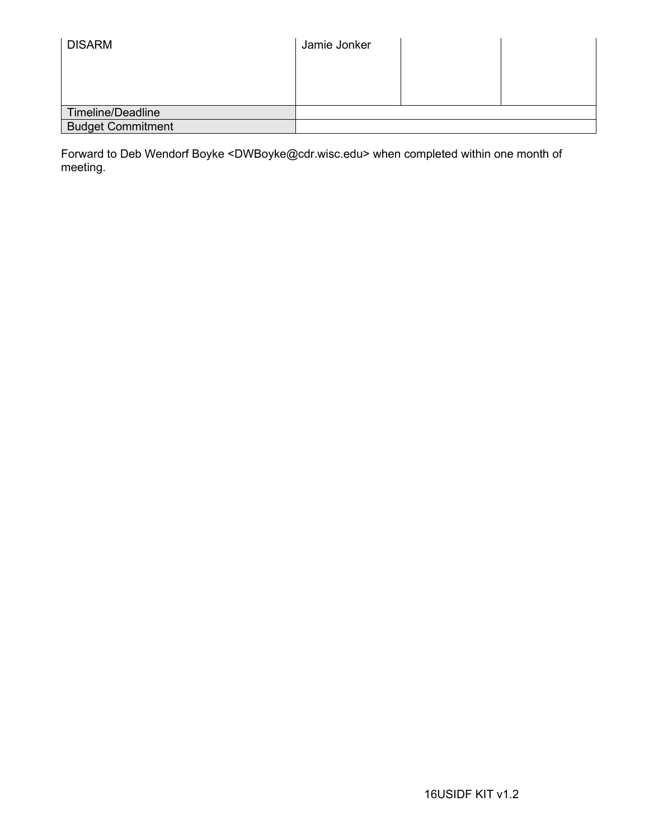| <b>DISARM</b>            | Jamie Jonker |  |
|--------------------------|--------------|--|
|                          |              |  |
|                          |              |  |
| Timeline/Deadline        |              |  |
| <b>Budget Commitment</b> |              |  |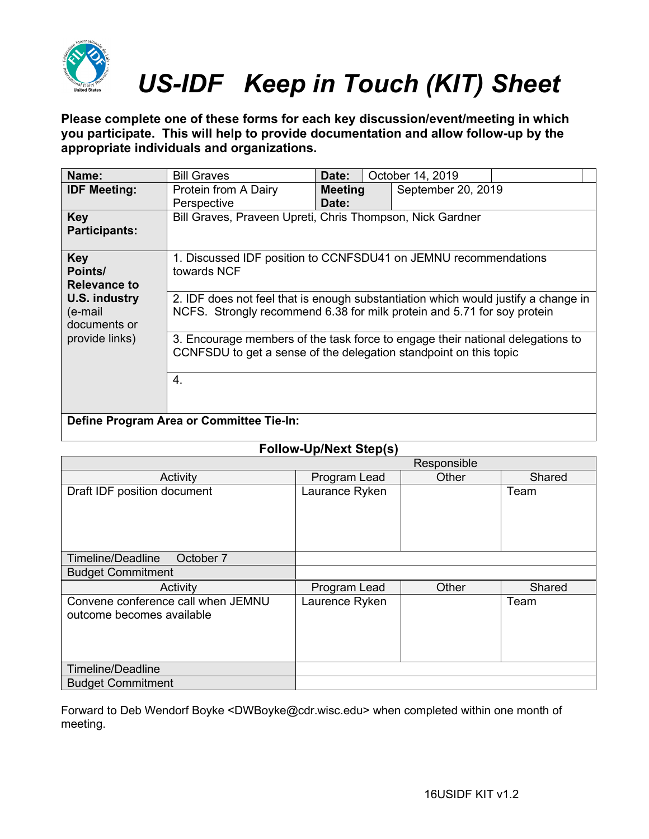

**Please complete one of these forms for each key discussion/event/meeting in which you participate. This will help to provide documentation and allow follow-up by the appropriate individuals and organizations.**

| Name:                                           | <b>Bill Graves</b>                                                                                                                                                                                                                                                                                                         | Date:                                                     | October 14, 2019   |  |  |  |
|-------------------------------------------------|----------------------------------------------------------------------------------------------------------------------------------------------------------------------------------------------------------------------------------------------------------------------------------------------------------------------------|-----------------------------------------------------------|--------------------|--|--|--|
| <b>IDF Meeting:</b>                             | Protein from A Dairy<br>Perspective                                                                                                                                                                                                                                                                                        | <b>Meeting</b><br>Date:                                   | September 20, 2019 |  |  |  |
| Key<br><b>Participants:</b>                     |                                                                                                                                                                                                                                                                                                                            | Bill Graves, Praveen Upreti, Chris Thompson, Nick Gardner |                    |  |  |  |
| <b>Key</b><br>Points/<br><b>Relevance to</b>    | 1. Discussed IDF position to CCNFSDU41 on JEMNU recommendations<br>towards NCF                                                                                                                                                                                                                                             |                                                           |                    |  |  |  |
| <b>U.S. industry</b><br>(e-mail<br>documents or | 2. IDF does not feel that is enough substantiation which would justify a change in<br>NCFS. Strongly recommend 6.38 for milk protein and 5.71 for soy protein<br>3. Encourage members of the task force to engage their national delegations to<br>CCNFSDU to get a sense of the delegation standpoint on this topic<br>4. |                                                           |                    |  |  |  |
| provide links)                                  |                                                                                                                                                                                                                                                                                                                            |                                                           |                    |  |  |  |
|                                                 |                                                                                                                                                                                                                                                                                                                            |                                                           |                    |  |  |  |
|                                                 | Define Program Area or Committee Tie-In:                                                                                                                                                                                                                                                                                   |                                                           |                    |  |  |  |

### **Follow-Up/Next Step(s)**

|                                    |                | Responsible |        |
|------------------------------------|----------------|-------------|--------|
| Activity                           | Program Lead   | Other       | Shared |
| Draft IDF position document        | Laurance Ryken |             | Team   |
|                                    |                |             |        |
|                                    |                |             |        |
|                                    |                |             |        |
|                                    |                |             |        |
| Timeline/Deadline<br>October 7     |                |             |        |
| <b>Budget Commitment</b>           |                |             |        |
| Activity                           | Program Lead   | Other       | Shared |
| Convene conference call when JEMNU | Laurence Ryken |             | Team   |
| outcome becomes available          |                |             |        |
|                                    |                |             |        |
|                                    |                |             |        |
|                                    |                |             |        |
| <b>Timeline/Deadline</b>           |                |             |        |
| <b>Budget Commitment</b>           |                |             |        |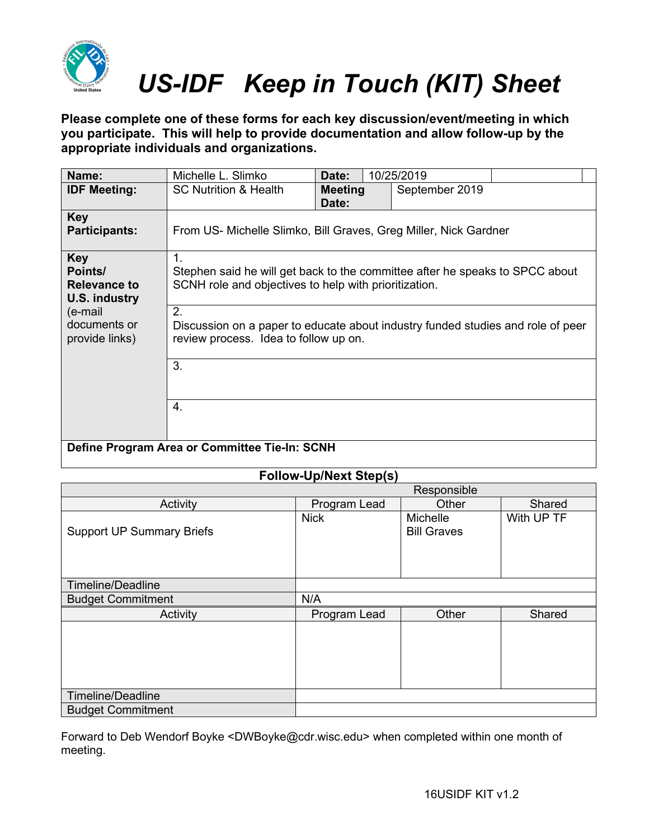

**Please complete one of these forms for each key discussion/event/meeting in which you participate. This will help to provide documentation and allow follow-up by the appropriate individuals and organizations.**

| Name:                                                         | Michelle L. Slimko                                                                                                                                   | Date:                   |  | 10/25/2019     |  |
|---------------------------------------------------------------|------------------------------------------------------------------------------------------------------------------------------------------------------|-------------------------|--|----------------|--|
| <b>IDF Meeting:</b>                                           | <b>SC Nutrition &amp; Health</b>                                                                                                                     | <b>Meeting</b><br>Date: |  | September 2019 |  |
| <b>Key</b><br><b>Participants:</b>                            | From US- Michelle Slimko, Bill Graves, Greg Miller, Nick Gardner                                                                                     |                         |  |                |  |
| <b>Key</b><br>Points/<br><b>Relevance to</b><br>U.S. industry | $\mathbf 1$<br>Stephen said he will get back to the committee after he speaks to SPCC about<br>SCNH role and objectives to help with prioritization. |                         |  |                |  |
| (e-mail<br>documents or<br>provide links)                     | 2.<br>Discussion on a paper to educate about industry funded studies and role of peer<br>review process. Idea to follow up on.                       |                         |  |                |  |
|                                                               | 3.                                                                                                                                                   |                         |  |                |  |
|                                                               | 4.                                                                                                                                                   |                         |  |                |  |
| Define Program Area or Committee Tie-In: SCNH                 |                                                                                                                                                      |                         |  |                |  |

### **Follow-Up/Next Step(s)**

|                                  |              | Responsible                           |            |  |
|----------------------------------|--------------|---------------------------------------|------------|--|
| Activity                         | Program Lead | Other                                 | Shared     |  |
| <b>Support UP Summary Briefs</b> | <b>Nick</b>  | <b>Michelle</b><br><b>Bill Graves</b> | With UP TF |  |
| Timeline/Deadline                |              |                                       |            |  |
| <b>Budget Commitment</b>         | N/A          |                                       |            |  |
| Activity                         | Program Lead | Other                                 | Shared     |  |
|                                  |              |                                       |            |  |
| Timeline/Deadline                |              |                                       |            |  |
| <b>Budget Commitment</b>         |              |                                       |            |  |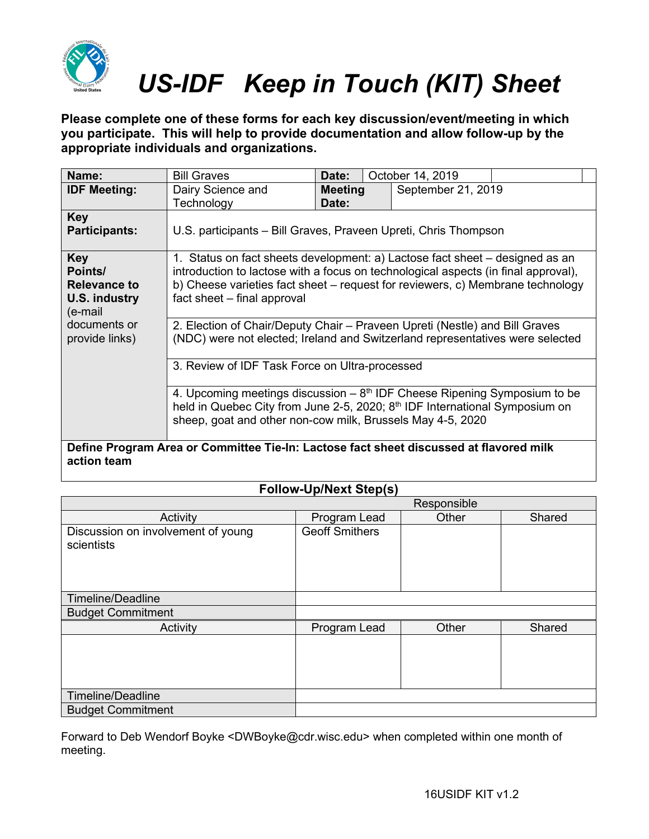

**Please complete one of these forms for each key discussion/event/meeting in which you participate. This will help to provide documentation and allow follow-up by the appropriate individuals and organizations.**

| Name:                                                                                                 | <b>Bill Graves</b>                                                                                                                                                                                                                                                                  | Date:                   |  | October 14, 2019   |  |
|-------------------------------------------------------------------------------------------------------|-------------------------------------------------------------------------------------------------------------------------------------------------------------------------------------------------------------------------------------------------------------------------------------|-------------------------|--|--------------------|--|
| <b>IDF Meeting:</b>                                                                                   | Dairy Science and<br>Technology                                                                                                                                                                                                                                                     | <b>Meeting</b><br>Date: |  | September 21, 2019 |  |
| Key<br><b>Participants:</b>                                                                           | U.S. participants – Bill Graves, Praveen Upreti, Chris Thompson                                                                                                                                                                                                                     |                         |  |                    |  |
| <b>Key</b><br>Points/<br>Relevance to<br>U.S. industry<br>(e-mail<br>documents or                     | 1. Status on fact sheets development: a) Lactose fact sheet – designed as an<br>introduction to lactose with a focus on technological aspects (in final approval),<br>b) Cheese varieties fact sheet – request for reviewers, c) Membrane technology<br>fact sheet - final approval |                         |  |                    |  |
| provide links)                                                                                        | 2. Election of Chair/Deputy Chair – Praveen Upreti (Nestle) and Bill Graves<br>(NDC) were not elected; Ireland and Switzerland representatives were selected                                                                                                                        |                         |  |                    |  |
|                                                                                                       | 3. Review of IDF Task Force on Ultra-processed                                                                                                                                                                                                                                      |                         |  |                    |  |
|                                                                                                       | 4. Upcoming meetings discussion $-8th$ IDF Cheese Ripening Symposium to be<br>held in Quebec City from June 2-5, 2020; $8th$ IDF International Symposium on<br>sheep, goat and other non-cow milk, Brussels May 4-5, 2020                                                           |                         |  |                    |  |
| Define Program Area or Committee Tie-In: Lactose fact sheet discussed at flavored milk<br>action team |                                                                                                                                                                                                                                                                                     |                         |  |                    |  |

#### **Follow-Up/Next Step(s)**

|                                                  | Responsible           |       |        |  |
|--------------------------------------------------|-----------------------|-------|--------|--|
| Activity                                         | Program Lead          | Other | Shared |  |
| Discussion on involvement of young<br>scientists | <b>Geoff Smithers</b> |       |        |  |
| Timeline/Deadline                                |                       |       |        |  |
| <b>Budget Commitment</b>                         |                       |       |        |  |
| Activity                                         | Program Lead          | Other | Shared |  |
|                                                  |                       |       |        |  |
| <b>Timeline/Deadline</b>                         |                       |       |        |  |
| <b>Budget Commitment</b>                         |                       |       |        |  |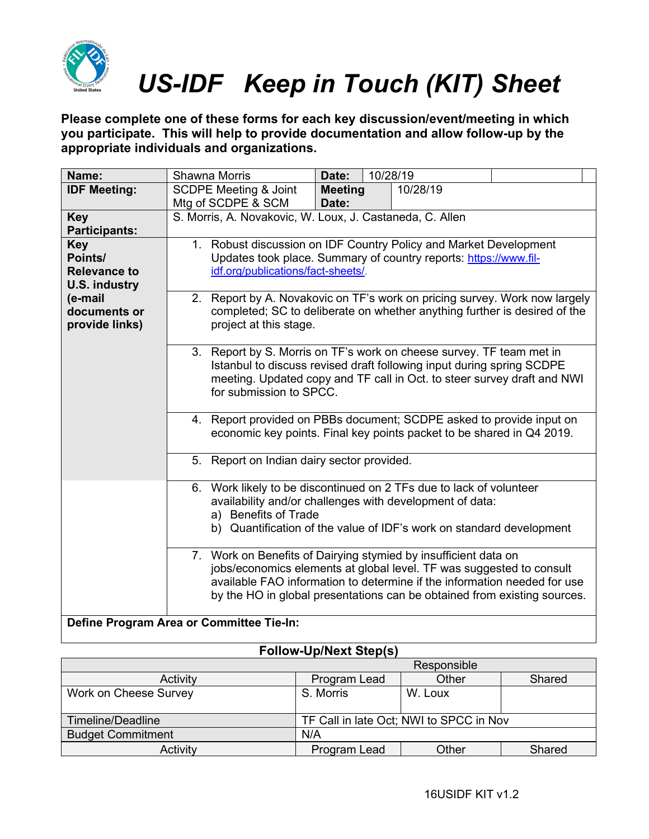

**Please complete one of these forms for each key discussion/event/meeting in which you participate. This will help to provide documentation and allow follow-up by the appropriate individuals and organizations.**

| Name:                                                                | Shawna Morris                                                                                                                                                                        | 10/28/19<br>Date:                                                                                                                                                                                                                                                                                                                                                                                                                                                                                                                  |          |  |  |  |
|----------------------------------------------------------------------|--------------------------------------------------------------------------------------------------------------------------------------------------------------------------------------|------------------------------------------------------------------------------------------------------------------------------------------------------------------------------------------------------------------------------------------------------------------------------------------------------------------------------------------------------------------------------------------------------------------------------------------------------------------------------------------------------------------------------------|----------|--|--|--|
| <b>IDF Meeting:</b>                                                  | <b>SCDPE Meeting &amp; Joint</b><br>Mtg of SCDPE & SCM                                                                                                                               | <b>Meeting</b><br>Date:                                                                                                                                                                                                                                                                                                                                                                                                                                                                                                            | 10/28/19 |  |  |  |
| <b>Key</b><br><b>Participants:</b>                                   | S. Morris, A. Novakovic, W. Loux, J. Castaneda, C. Allen                                                                                                                             |                                                                                                                                                                                                                                                                                                                                                                                                                                                                                                                                    |          |  |  |  |
| <b>Key</b><br>Points/<br><b>Relevance to</b><br><b>U.S. industry</b> | 1. Robust discussion on IDF Country Policy and Market Development<br>Updates took place. Summary of country reports: https://www.fil-<br>idf.org/publications/fact-sheets/.          |                                                                                                                                                                                                                                                                                                                                                                                                                                                                                                                                    |          |  |  |  |
| (e-mail<br>documents or<br>provide links)                            | Report by A. Novakovic on TF's work on pricing survey. Work now largely<br>2.<br>completed; SC to deliberate on whether anything further is desired of the<br>project at this stage. |                                                                                                                                                                                                                                                                                                                                                                                                                                                                                                                                    |          |  |  |  |
|                                                                      |                                                                                                                                                                                      | 3. Report by S. Morris on TF's work on cheese survey. TF team met in<br>Istanbul to discuss revised draft following input during spring SCDPE<br>meeting. Updated copy and TF call in Oct. to steer survey draft and NWI<br>for submission to SPCC.                                                                                                                                                                                                                                                                                |          |  |  |  |
|                                                                      | 4. Report provided on PBBs document; SCDPE asked to provide input on<br>economic key points. Final key points packet to be shared in Q4 2019.                                        |                                                                                                                                                                                                                                                                                                                                                                                                                                                                                                                                    |          |  |  |  |
|                                                                      | 5. Report on Indian dairy sector provided.                                                                                                                                           |                                                                                                                                                                                                                                                                                                                                                                                                                                                                                                                                    |          |  |  |  |
|                                                                      |                                                                                                                                                                                      | 6. Work likely to be discontinued on 2 TFs due to lack of volunteer<br>availability and/or challenges with development of data:<br>a) Benefits of Trade<br>b) Quantification of the value of IDF's work on standard development<br>7. Work on Benefits of Dairying stymied by insufficient data on<br>jobs/economics elements at global level. TF was suggested to consult<br>available FAO information to determine if the information needed for use<br>by the HO in global presentations can be obtained from existing sources. |          |  |  |  |
|                                                                      |                                                                                                                                                                                      |                                                                                                                                                                                                                                                                                                                                                                                                                                                                                                                                    |          |  |  |  |
|                                                                      | Define Program Area or Committee Tie-In:                                                                                                                                             |                                                                                                                                                                                                                                                                                                                                                                                                                                                                                                                                    |          |  |  |  |

|                          | Responsible                             |         |        |  |
|--------------------------|-----------------------------------------|---------|--------|--|
| Activity                 | Program Lead                            | Other   | Shared |  |
| Work on Cheese Survey    | S. Morris                               | W. Loux |        |  |
|                          |                                         |         |        |  |
| Timeline/Deadline        | TF Call in late Oct; NWI to SPCC in Nov |         |        |  |
| <b>Budget Commitment</b> | N/A                                     |         |        |  |
| Activity                 | Program Lead                            | Other   | Shared |  |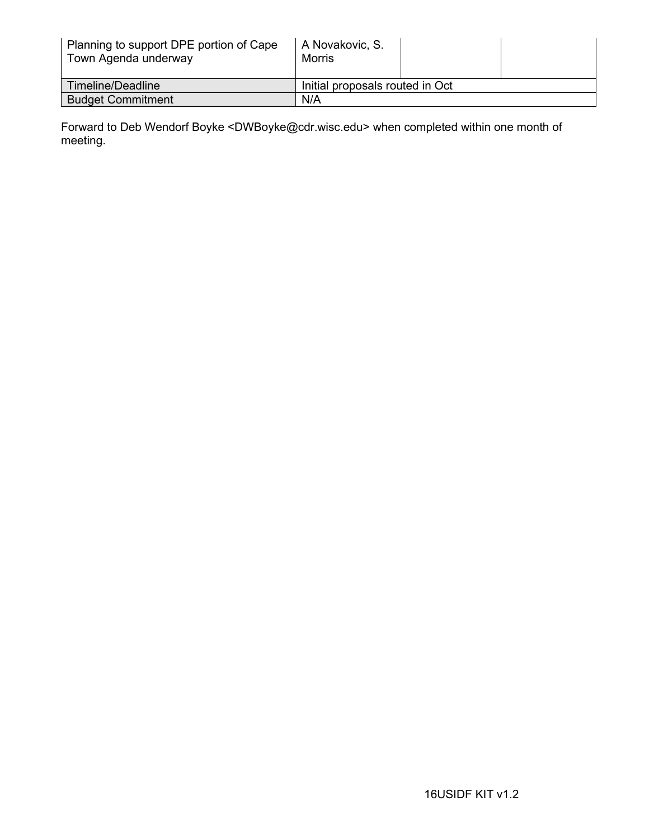| Planning to support DPE portion of Cape<br>Town Agenda underway | A Novakovic, S.<br>Morris       |  |  |
|-----------------------------------------------------------------|---------------------------------|--|--|
| Timeline/Deadline                                               | Initial proposals routed in Oct |  |  |
| <b>Budget Commitment</b>                                        | N/A                             |  |  |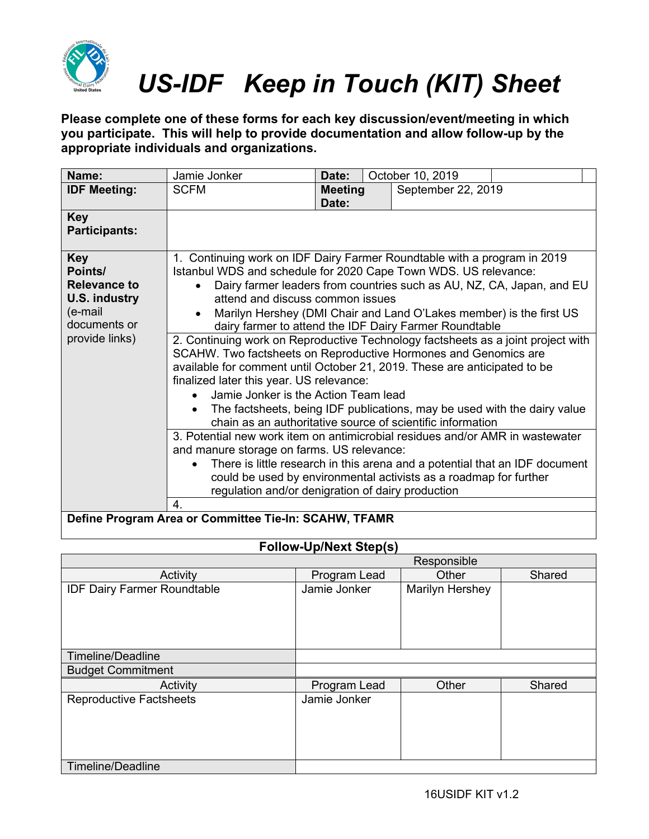

**Please complete one of these forms for each key discussion/event/meeting in which you participate. This will help to provide documentation and allow follow-up by the appropriate individuals and organizations.**

| Name:                                                 | Jamie Jonker                                                                             | Date:          | October 10, 2019                                                      |  |  |
|-------------------------------------------------------|------------------------------------------------------------------------------------------|----------------|-----------------------------------------------------------------------|--|--|
| <b>IDF Meeting:</b>                                   | <b>SCFM</b>                                                                              | <b>Meeting</b> | September 22, 2019                                                    |  |  |
|                                                       |                                                                                          | Date:          |                                                                       |  |  |
| <b>Key</b>                                            |                                                                                          |                |                                                                       |  |  |
| <b>Participants:</b>                                  |                                                                                          |                |                                                                       |  |  |
| <b>Key</b>                                            | 1. Continuing work on IDF Dairy Farmer Roundtable with a program in 2019                 |                |                                                                       |  |  |
| Points/                                               | Istanbul WDS and schedule for 2020 Cape Town WDS. US relevance:                          |                |                                                                       |  |  |
| <b>Relevance to</b>                                   |                                                                                          |                | Dairy farmer leaders from countries such as AU, NZ, CA, Japan, and EU |  |  |
| <b>U.S. industry</b>                                  | attend and discuss common issues                                                         |                |                                                                       |  |  |
| (e-mail                                               |                                                                                          |                | Marilyn Hershey (DMI Chair and Land O'Lakes member) is the first US   |  |  |
| documents or                                          |                                                                                          |                | dairy farmer to attend the IDF Dairy Farmer Roundtable                |  |  |
| provide links)                                        | 2. Continuing work on Reproductive Technology factsheets as a joint project with         |                |                                                                       |  |  |
|                                                       | SCAHW. Two factsheets on Reproductive Hormones and Genomics are                          |                |                                                                       |  |  |
|                                                       | available for comment until October 21, 2019. These are anticipated to be                |                |                                                                       |  |  |
|                                                       | finalized later this year. US relevance:                                                 |                |                                                                       |  |  |
|                                                       | Jamie Jonker is the Action Team lead<br>$\bullet$                                        |                |                                                                       |  |  |
|                                                       | The factsheets, being IDF publications, may be used with the dairy value                 |                |                                                                       |  |  |
|                                                       | chain as an authoritative source of scientific information                               |                |                                                                       |  |  |
|                                                       | 3. Potential new work item on antimicrobial residues and/or AMR in wastewater            |                |                                                                       |  |  |
|                                                       | and manure storage on farms. US relevance:                                               |                |                                                                       |  |  |
|                                                       | There is little research in this arena and a potential that an IDF document<br>$\bullet$ |                |                                                                       |  |  |
|                                                       | could be used by environmental activists as a roadmap for further                        |                |                                                                       |  |  |
|                                                       | regulation and/or denigration of dairy production                                        |                |                                                                       |  |  |
|                                                       | 4.                                                                                       |                |                                                                       |  |  |
| Define Program Area or Committee Tie-In: SCAHW, TFAMR |                                                                                          |                |                                                                       |  |  |

|                                    | Responsible  |                 |        |
|------------------------------------|--------------|-----------------|--------|
| Activity                           | Program Lead | Other           | Shared |
| <b>IDF Dairy Farmer Roundtable</b> | Jamie Jonker | Marilyn Hershey |        |
| <b>Timeline/Deadline</b>           |              |                 |        |
| <b>Budget Commitment</b>           |              |                 |        |
| Activity                           | Program Lead | Other           | Shared |
| <b>Reproductive Factsheets</b>     | Jamie Jonker |                 |        |
| Timeline/Deadline                  |              |                 |        |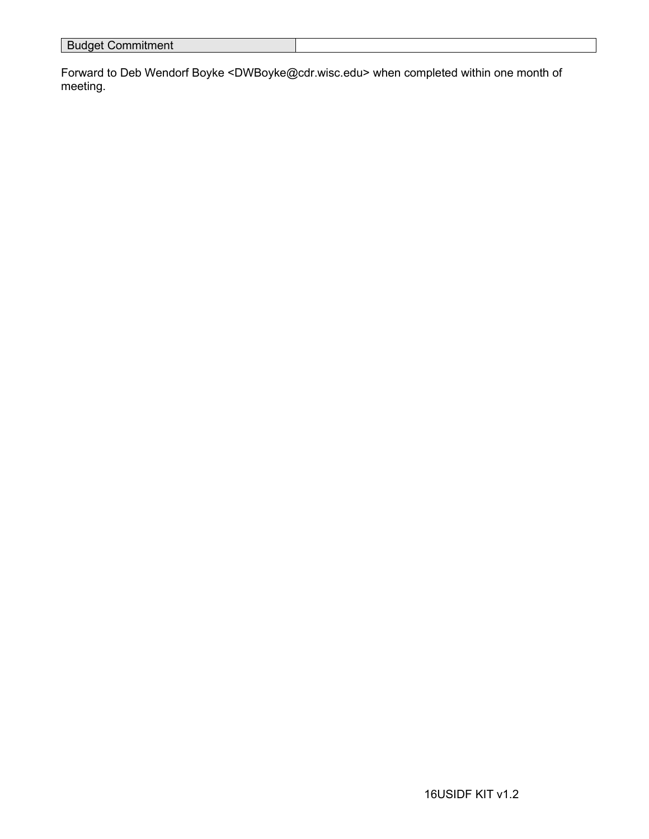| ---------------<br>Commitment<br><b>Duuy</b> |  |
|----------------------------------------------|--|
|                                              |  |